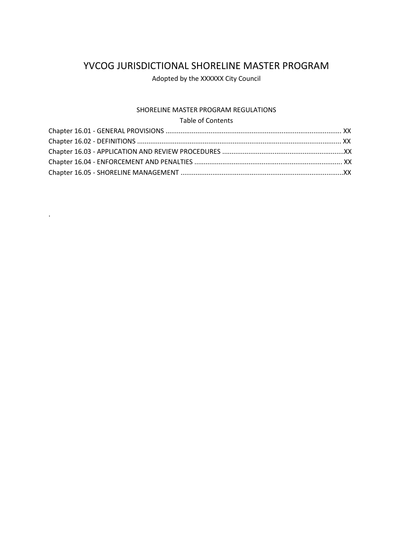# YVCOG JURISDICTIONAL SHORELINE MASTER PROGRAM

Adopted by the XXXXXX City Council

# SHORELINE MASTER PROGRAM REGULATIONS

## Table of Contents

.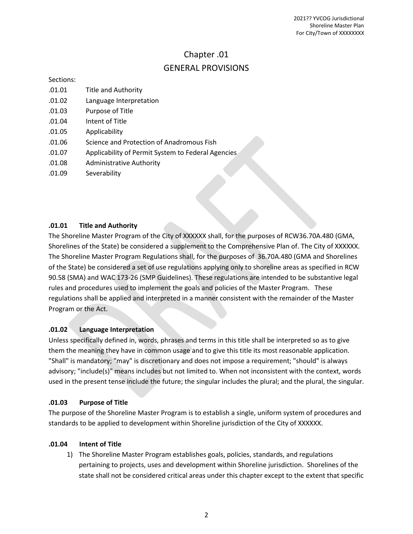## Chapter .01 GENERAL PROVISIONS

Sections:

- .01.01 Title and Authority
- .01.02 Language Interpretation
- .01.03 Purpose of Title
- .01.04 Intent of Title
- .01.05 Applicability
- .01.06 Science and Protection of Anadromous Fish
- .01.07 Applicability of Permit System to Federal Agencies
- .01.08 Administrative Authority
- .01.09 Severability

## **.01.01 Title and Authority**

The Shoreline Master Program of the City of XXXXXX shall, for the purposes of RCW36.70A.480 (GMA, Shorelines of the State) be considered a supplement to the Comprehensive Plan of. The City of XXXXXX. The Shoreline Master Program Regulations shall, for the purposes of 36.70A.480 (GMA and Shorelines of the State) be considered a set of use regulations applying only to shoreline areas as specified in RCW 90.58 (SMA) and WAC 173-26 (SMP Guidelines). These regulations are intended to be substantive legal rules and procedures used to implement the goals and policies of the Master Program. These regulations shall be applied and interpreted in a manner consistent with the remainder of the Master Program or the Act.

#### **.01.02 Language Interpretation**

Unless specifically defined in, words, phrases and terms in this title shall be interpreted so as to give them the meaning they have in common usage and to give this title its most reasonable application. "Shall" is mandatory; "may" is discretionary and does not impose a requirement; "should" is always advisory; "include(s)" means includes but not limited to. When not inconsistent with the context, words used in the present tense include the future; the singular includes the plural; and the plural, the singular.

#### **.01.03 Purpose of Title**

The purpose of the Shoreline Master Program is to establish a single, uniform system of procedures and standards to be applied to development within Shoreline jurisdiction of the City of XXXXXX.

#### **.01.04 Intent of Title**

1) The Shoreline Master Program establishes goals, policies, standards, and regulations pertaining to projects, uses and development within Shoreline jurisdiction. Shorelines of the state shall not be considered critical areas under this chapter except to the extent that specific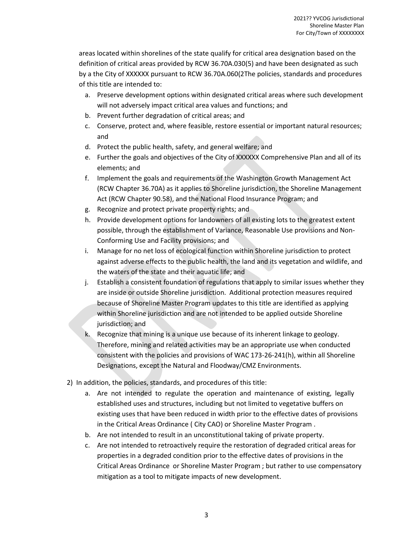areas located within shorelines of the state qualify for critical area designation based on the definition of critical areas provided by RCW 36.70A.030(5) and have been designated as such by a the City of XXXXXX pursuant to RCW 36.70A.060(2The policies, standards and procedures of this title are intended to:

- a. Preserve development options within designated critical areas where such development will not adversely impact critical area values and functions; and
- b. Prevent further degradation of critical areas; and
- c. Conserve, protect and, where feasible, restore essential or important natural resources; and
- d. Protect the public health, safety, and general welfare; and
- e. Further the goals and objectives of the City of XXXXXX Comprehensive Plan and all of its elements; and
- f. Implement the goals and requirements of the Washington Growth Management Act (RCW Chapter 36.70A) as it applies to Shoreline jurisdiction, the Shoreline Management Act (RCW Chapter 90.58), and the National Flood Insurance Program; and
- g. Recognize and protect private property rights; and
- h. Provide development options for landowners of all existing lots to the greatest extent possible, through the establishment of Variance, Reasonable Use provisions and Non-Conforming Use and Facility provisions; and
- i. Manage for no net loss of ecological function within Shoreline jurisdiction to protect against adverse effects to the public health, the land and its vegetation and wildlife, and the waters of the state and their aquatic life; and
- j. Establish a consistent foundation of regulations that apply to similar issues whether they are inside or outside Shoreline jurisdiction. Additional protection measures required because of Shoreline Master Program updates to this title are identified as applying within Shoreline jurisdiction and are not intended to be applied outside Shoreline jurisdiction; and
- k. Recognize that mining is a unique use because of its inherent linkage to geology. Therefore, mining and related activities may be an appropriate use when conducted consistent with the policies and provisions of WAC 173-26-241(h), within all Shoreline Designations, except the Natural and Floodway/CMZ Environments.
- 2) In addition, the policies, standards, and procedures of this title:
	- a. Are not intended to regulate the operation and maintenance of existing, legally established uses and structures, including but not limited to vegetative buffers on existing uses that have been reduced in width prior to the effective dates of provisions in the Critical Areas Ordinance ( City CAO) or Shoreline Master Program .
	- b. Are not intended to result in an unconstitutional taking of private property.
	- c. Are not intended to retroactively require the restoration of degraded critical areas for properties in a degraded condition prior to the effective dates of provisions in the Critical Areas Ordinance or Shoreline Master Program ; but rather to use compensatory mitigation as a tool to mitigate impacts of new development.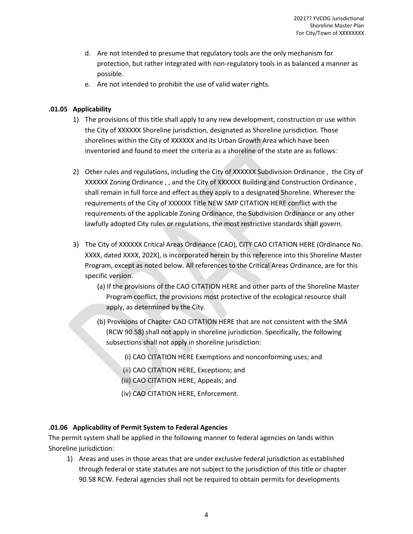- d. Are not intended to presume that regulatory tools are the only mechanism for protection, but rather integrated with non-regulatory tools in as balanced a manner as possible.
- e. Are not intended to prohibit the use of valid water rights.

## **.01.05 Applicability**

- 1) The provisions of this title shall apply to any new development, construction or use within the City of XXXXXX Shoreline jurisdiction, designated as Shoreline jurisdiction. Those shorelines within the City of XXXXXX and its Urban Growth Area which have been inventoried and found to meet the criteria as a shoreline of the state are as follows:
- 2) Other rules and regulations, including the City of XXXXXX Subdivision Ordinance , the City of XXXXXX Zoning Ordinance , , and the City of XXXXXX Building and Construction Ordinance , shall remain in full force and effect as they apply to a designated Shoreline. Wherever the requirements of the City of XXXXXX Title NEW SMP CITATION HERE conflict with the requirements of the applicable Zoning Ordinance, the Subdivision Ordinance or any other lawfully adopted City rules or regulations, the most restrictive standards shall govern.
- 3) The City of XXXXXX Critical Areas Ordinance (CAO), CITY CAO CITATION HERE (Ordinance No. XXXX, dated XXXX, 202X), is incorporated herein by this reference into this Shoreline Master Program, except as noted below. All references to the Critical Areas Ordinance, are for this specific version.
	- (a) If the provisions of the CAO CITATION HERE and other parts of the Shoreline Master Program conflict, the provisions most protective of the ecological resource shall apply, as determined by the City.
	- (b) Provisions of Chapter CAO CITATION HERE that are not consistent with the SMA (RCW 90.58) shall not apply in shoreline jurisdiction. Specifically, the following subsections shall not apply in shoreline jurisdiction:
		- (i) CAO CITATION HERE Exemptions and nonconforming uses; and
		- (ii) CAO CITATION HERE, Exceptions; and
		- (iii) CAO CITATION HERE, Appeals; and
		- (iv) CAO CITATION HERE, Enforcement.

## **.01.06 Applicability of Permit System to Federal Agencies**

The permit system shall be applied in the following manner to federal agencies on lands within Shoreline jurisdiction:

1) Areas and uses in those areas that are under exclusive federal jurisdiction as established through federal or state statutes are not subject to the jurisdiction of this title or chapter 90.58 RCW. Federal agencies shall not be required to obtain permits for developments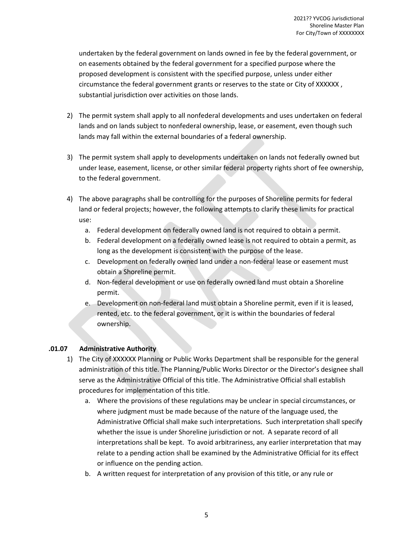undertaken by the federal government on lands owned in fee by the federal government, or on easements obtained by the federal government for a specified purpose where the proposed development is consistent with the specified purpose, unless under either circumstance the federal government grants or reserves to the state or City of XXXXXX , substantial jurisdiction over activities on those lands.

- 2) The permit system shall apply to all nonfederal developments and uses undertaken on federal lands and on lands subject to nonfederal ownership, lease, or easement, even though such lands may fall within the external boundaries of a federal ownership.
- 3) The permit system shall apply to developments undertaken on lands not federally owned but under lease, easement, license, or other similar federal property rights short of fee ownership, to the federal government.
- 4) The above paragraphs shall be controlling for the purposes of Shoreline permits for federal land or federal projects; however, the following attempts to clarify these limits for practical use:
	- a. Federal development on federally owned land is not required to obtain a permit.
	- b. Federal development on a federally owned lease is not required to obtain a permit, as long as the development is consistent with the purpose of the lease.
	- c. Development on federally owned land under a non-federal lease or easement must obtain a Shoreline permit.
	- d. Non-federal development or use on federally owned land must obtain a Shoreline permit.
	- e. Development on non-federal land must obtain a Shoreline permit, even if it is leased, rented, etc. to the federal government, or it is within the boundaries of federal ownership.

## **.01.07 Administrative Authority**

- 1) The City of XXXXXX Planning or Public Works Department shall be responsible for the general administration of this title. The Planning/Public Works Director or the Director's designee shall serve as the Administrative Official of this title. The Administrative Official shall establish procedures for implementation of this title.
	- a. Where the provisions of these regulations may be unclear in special circumstances, or where judgment must be made because of the nature of the language used, the Administrative Official shall make such interpretations. Such interpretation shall specify whether the issue is under Shoreline jurisdiction or not. A separate record of all interpretations shall be kept. To avoid arbitrariness, any earlier interpretation that may relate to a pending action shall be examined by the Administrative Official for its effect or influence on the pending action.
	- b. A written request for interpretation of any provision of this title, or any rule or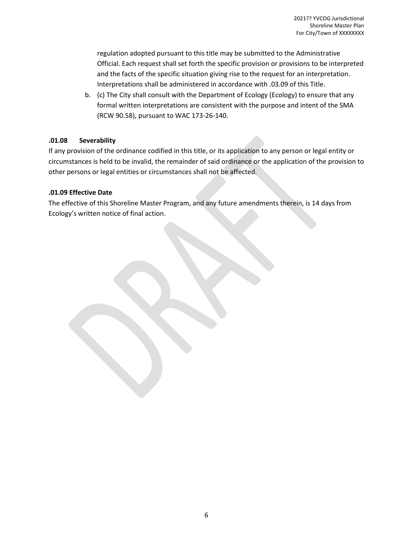regulation adopted pursuant to this title may be submitted to the Administrative Official. Each request shall set forth the specific provision or provisions to be interpreted and the facts of the specific situation giving rise to the request for an interpretation. Interpretations shall be administered in accordance with .03.09 of this Title.

b. (c) The City shall consult with the Department of Ecology (Ecology) to ensure that any formal written interpretations are consistent with the purpose and intent of the SMA (RCW 90.58), pursuant to WAC 173-26-140.

## **.01.08 Severability**

If any provision of the ordinance codified in this title, or its application to any person or legal entity or circumstances is held to be invalid, the remainder of said ordinance or the application of the provision to other persons or legal entities or circumstances shall not be affected.

## **.01.09 Effective Date**

The effective of this Shoreline Master Program, and any future amendments therein, is 14 days from Ecology's written notice of final action.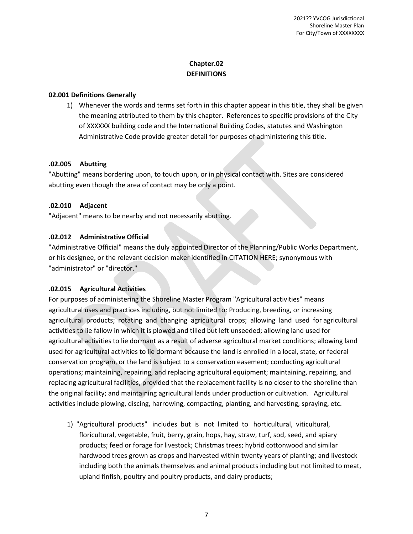## **Chapter.02 DEFINITIONS**

## **02.001 Definitions Generally**

1) Whenever the words and terms set forth in this chapter appear in this title, they shall be given the meaning attributed to them by this chapter. References to specific provisions of the City of XXXXXX building code and the International Building Codes, statutes and Washington Administrative Code provide greater detail for purposes of administering this title.

## **.02.005 Abutting**

"Abutting" means bordering upon, to touch upon, or in physical contact with. Sites are considered abutting even though the area of contact may be only a point.

## **.02.010 Adjacent**

"Adjacent" means to be nearby and not necessarily abutting.

## **.02.012 Administrative Official**

"Administrative Official" means the duly appointed Director of the Planning/Public Works Department, or his designee, or the relevant decision maker identified in CITATION HERE; synonymous with "administrator" or "director."

#### **.02.015 Agricultural Activities**

For purposes of administering the Shoreline Master Program "Agricultural activities" means agricultural uses and practices including, but not limited to: Producing, breeding, or increasing agricultural products; rotating and changing agricultural crops; allowing land used for agricultural activities to lie fallow in which it is plowed and tilled but left unseeded; allowing land used for agricultural activities to lie dormant as a result of adverse agricultural market conditions; allowing land used for agricultural activities to lie dormant because the land is enrolled in a local, state, or federal conservation program, or the land is subject to a conservation easement; conducting agricultural operations; maintaining, repairing, and replacing agricultural equipment; maintaining, repairing, and replacing agricultural facilities, provided that the replacement facility is no closer to the shoreline than the original facility; and maintaining agricultural lands under production or cultivation. Agricultural activities include plowing, discing, harrowing, compacting, planting, and harvesting, spraying, etc.

1) "Agricultural products" includes but is not limited to horticultural, viticultural, floricultural, vegetable, fruit, berry, grain, hops, hay, straw, turf, sod, seed, and apiary products; feed or forage for livestock; Christmas trees; hybrid cottonwood and similar hardwood trees grown as crops and harvested within twenty years of planting; and livestock including both the animals themselves and animal products including but not limited to meat, upland finfish, poultry and poultry products, and dairy products;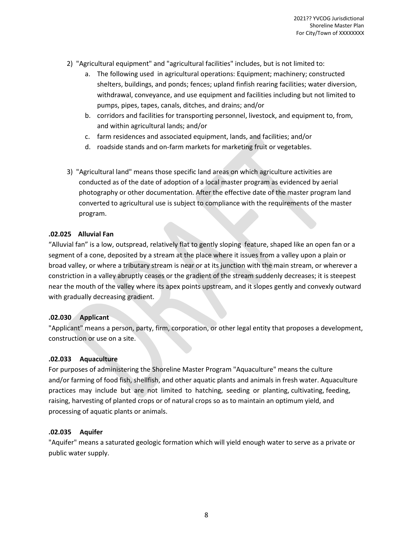- 2) "Agricultural equipment" and "agricultural facilities" includes, but is not limited to:
	- a. The following used in agricultural operations: Equipment; machinery; constructed shelters, buildings, and ponds; fences; upland finfish rearing facilities; water diversion, withdrawal, conveyance, and use equipment and facilities including but not limited to pumps, pipes, tapes, canals, ditches, and drains; and/or
	- b. corridors and facilities for transporting personnel, livestock, and equipment to, from, and within agricultural lands; and/or
	- c. farm residences and associated equipment, lands, and facilities; and/or
	- d. roadside stands and on-farm markets for marketing fruit or vegetables.
- 3) "Agricultural land" means those specific land areas on which agriculture activities are conducted as of the date of adoption of a local master program as evidenced by aerial photography or other documentation. After the effective date of the master program land converted to agricultural use is subject to compliance with the requirements of the master program.

#### **.02.025 Alluvial Fan**

"Alluvial fan" is a low, outspread, relatively flat to gently sloping feature, shaped like an open fan or a segment of a cone, deposited by a stream at the place where it issues from a valley upon a plain or broad valley, or where a tributary stream is near or at its junction with the main stream, or wherever a constriction in a valley abruptly ceases or the gradient of the stream suddenly decreases; it is steepest near the mouth of the valley where its apex points upstream, and it slopes gently and convexly outward with gradually decreasing gradient.

#### **.02.030 Applicant**

"Applicant" means a person, party, firm, corporation, or other legal entity that proposes a development, construction or use on a site.

#### **.02.033 Aquaculture**

For purposes of administering the Shoreline Master Program "Aquaculture" means the culture and/or farming of food fish, shellfish, and other aquatic plants and animals in fresh water. Aquaculture practices may include but are not limited to hatching, seeding or planting, cultivating, feeding, raising, harvesting of planted crops or of natural crops so as to maintain an optimum yield, and processing of aquatic plants or animals.

#### **.02.035 Aquifer**

"Aquifer" means a saturated geologic formation which will yield enough water to serve as a private or public water supply.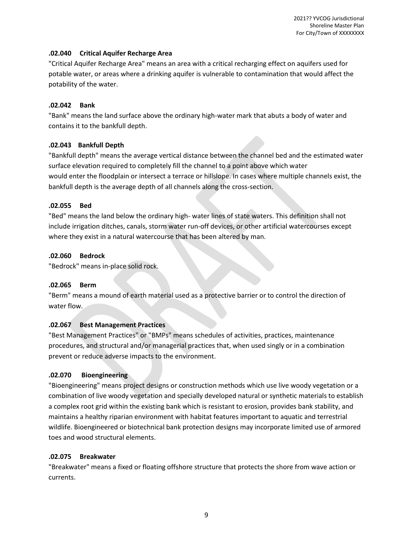#### **.02.040 Critical Aquifer Recharge Area**

"Critical Aquifer Recharge Area" means an area with a critical recharging effect on aquifers used for potable water, or areas where a drinking aquifer is vulnerable to contamination that would affect the potability of the water.

#### **.02.042 Bank**

"Bank" means the land surface above the ordinary high-water mark that abuts a body of water and contains it to the bankfull depth.

## **.02.043 Bankfull Depth**

"Bankfull depth" means the average vertical distance between the channel bed and the estimated water surface elevation required to completely fill the channel to a point above which water would enter the floodplain or intersect a terrace or hillslope. In cases where multiple channels exist, the bankfull depth is the average depth of all channels along the cross-section.

## **.02.055 Bed**

"Bed" means the land below the ordinary high- water lines of state waters. This definition shall not include irrigation ditches, canals, storm water run-off devices, or other artificial watercourses except where they exist in a natural watercourse that has been altered by man.

## **.02.060 Bedrock**

"Bedrock" means in-place solid rock.

## **.02.065 Berm**

"Berm" means a mound of earth material used as a protective barrier or to control the direction of water flow.

#### **.02.067 Best Management Practices**

"Best Management Practices" or "BMPs" means schedules of activities, practices, maintenance procedures, and structural and/or managerial practices that, when used singly or in a combination prevent or reduce adverse impacts to the environment.

#### **.02.070 Bioengineering**

"Bioengineering" means project designs or construction methods which use live woody vegetation or a combination of live woody vegetation and specially developed natural or synthetic materials to establish a complex root grid within the existing bank which is resistant to erosion, provides bank stability, and maintains a healthy riparian environment with habitat features important to aquatic and terrestrial wildlife. Bioengineered or biotechnical bank protection designs may incorporate limited use of armored toes and wood structural elements.

#### **.02.075 Breakwater**

"Breakwater" means a fixed or floating offshore structure that protects the shore from wave action or currents.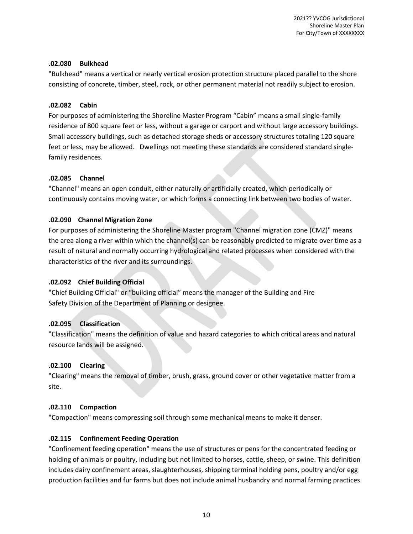#### **.02.080 Bulkhead**

"Bulkhead" means a vertical or nearly vertical erosion protection structure placed parallel to the shore consisting of concrete, timber, steel, rock, or other permanent material not readily subject to erosion.

## **.02.082 Cabin**

For purposes of administering the Shoreline Master Program "Cabin" means a small single-family residence of 800 square feet or less, without a garage or carport and without large accessory buildings. Small accessory buildings, such as detached storage sheds or accessory structures totaling 120 square feet or less, may be allowed. Dwellings not meeting these standards are considered standard singlefamily residences.

## **.02.085 Channel**

"Channel" means an open conduit, either naturally or artificially created, which periodically or continuously contains moving water, or which forms a connecting link between two bodies of water.

## **.02.090 Channel Migration Zone**

For purposes of administering the Shoreline Master program "Channel migration zone (CMZ)" means the area along a river within which the channel(s) can be reasonably predicted to migrate over time as a result of natural and normally occurring hydrological and related processes when considered with the characteristics of the river and its surroundings.

## **.02.092 Chief Building Official**

"Chief Building Official" or "building official" means the manager of the Building and Fire Safety Division of the Department of Planning or designee.

## **.02.095 Classification**

"Classification" means the definition of value and hazard categories to which critical areas and natural resource lands will be assigned.

## **.02.100 Clearing**

"Clearing" means the removal of timber, brush, grass, ground cover or other vegetative matter from a site.

## **.02.110 Compaction**

"Compaction" means compressing soil through some mechanical means to make it denser.

## **.02.115 Confinement Feeding Operation**

"Confinement feeding operation" means the use of structures or pens for the concentrated feeding or holding of animals or poultry, including but not limited to horses, cattle, sheep, or swine. This definition includes dairy confinement areas, slaughterhouses, shipping terminal holding pens, poultry and/or egg production facilities and fur farms but does not include animal husbandry and normal farming practices.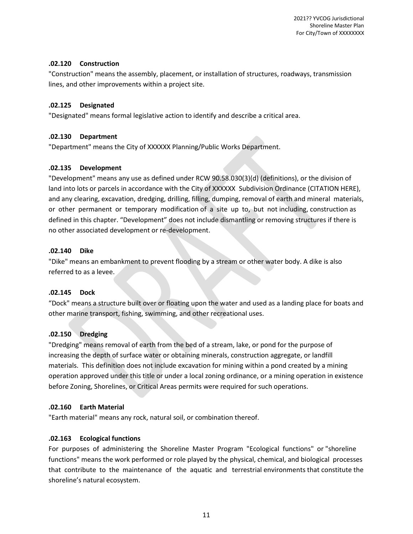2021?? YVCOG Jurisdictional Shoreline Master Plan For City/Town of XXXXXXXX

#### **.02.120 Construction**

"Construction" means the assembly, placement, or installation of structures, roadways, transmission lines, and other improvements within a project site.

#### **.02.125 Designated**

"Designated" means formal legislative action to identify and describe a critical area.

#### **.02.130 Department**

"Department" means the City of XXXXXX Planning/Public Works Department.

#### **.02.135 Development**

"Development" means any use as defined under RCW 90.58.030(3)(d) (definitions), or the division of land into lots or parcels in accordance with the City of XXXXXX Subdivision Ordinance (CITATION HERE), and any clearing, excavation, dredging, drilling, filling, dumping, removal of earth and mineral materials, or other permanent or temporary modification of a site up to, but not including, construction as defined in this chapter. "Development" does not include dismantling or removing structures if there is no other associated development or re-development.

#### **.02.140 Dike**

"Dike" means an embankment to prevent flooding by a stream or other water body. A dike is also referred to as a levee.

#### **.02.145 Dock**

"Dock" means a structure built over or floating upon the water and used as a landing place for boats and other marine transport, fishing, swimming, and other recreational uses.

#### **.02.150 Dredging**

"Dredging" means removal of earth from the bed of a stream, lake, or pond for the purpose of increasing the depth of surface water or obtaining minerals, construction aggregate, or landfill materials. This definition does not include excavation for mining within a pond created by a mining operation approved under this title or under a local zoning ordinance, or a mining operation in existence before Zoning, Shorelines, or Critical Areas permits were required for such operations.

#### **.02.160 Earth Material**

"Earth material" means any rock, natural soil, or combination thereof.

#### **.02.163 Ecological functions**

For purposes of administering the Shoreline Master Program "Ecological functions" or "shoreline functions" means the work performed or role played by the physical, chemical, and biological processes that contribute to the maintenance of the aquatic and terrestrial environments that constitute the shoreline's natural ecosystem.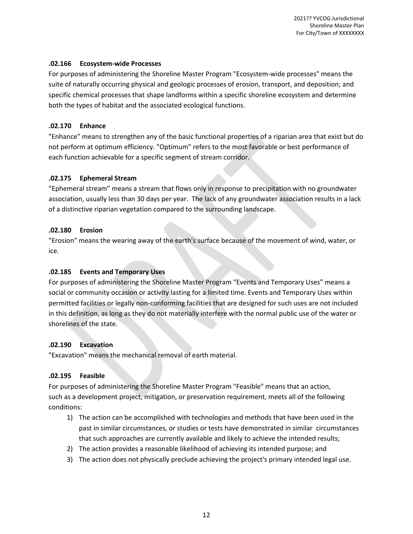#### **.02.166 Ecosystem-wide Processes**

For purposes of administering the Shoreline Master Program "Ecosystem-wide processes" means the suite of naturally occurring physical and geologic processes of erosion, transport, and deposition; and specific chemical processes that shape landforms within a specific shoreline ecosystem and determine both the types of habitat and the associated ecological functions.

## **.02.170 Enhance**

"Enhance" means to strengthen any of the basic functional properties of a riparian area that exist but do not perform at optimum efficiency. "Optimum" refers to the most favorable or best performance of each function achievable for a specific segment of stream corridor.

## **.02.175 Ephemeral Stream**

"Ephemeral stream" means a stream that flows only in response to precipitation with no groundwater association, usually less than 30 days per year. The lack of any groundwater association results in a lack of a distinctive riparian vegetation compared to the surrounding landscape.

## **.02.180 Erosion**

"Erosion" means the wearing away of the earth's surface because of the movement of wind, water, or ice.

## **.02.185 Events and Temporary Uses**

For purposes of administering the Shoreline Master Program "Events and Temporary Uses" means a social or community occasion or activity lasting for a limited time. Events and Temporary Uses within permitted facilities or legally non-conforming facilities that are designed for such uses are not included in this definition, as long as they do not materially interfere with the normal public use of the water or shorelines of the state.

#### **.02.190 Excavation**

"Excavation" means the mechanical removal of earth material.

#### **.02.195 Feasible**

For purposes of administering the Shoreline Master Program "Feasible" means that an action, such as a development project, mitigation, or preservation requirement, meets all of the following conditions:

- 1) The action can be accomplished with technologies and methods that have been used in the past in similar circumstances, or studies or tests have demonstrated in similar circumstances that such approaches are currently available and likely to achieve the intended results;
- 2) The action provides a reasonable likelihood of achieving its intended purpose; and
- 3) The action does not physically preclude achieving the project's primary intended legal use.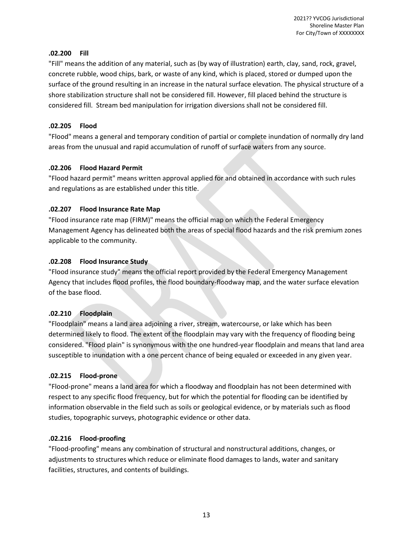#### **.02.200 Fill**

"Fill" means the addition of any material, such as (by way of illustration) earth, clay, sand, rock, gravel, concrete rubble, wood chips, bark, or waste of any kind, which is placed, stored or dumped upon the surface of the ground resulting in an increase in the natural surface elevation. The physical structure of a shore stabilization structure shall not be considered fill. However, fill placed behind the structure is considered fill. Stream bed manipulation for irrigation diversions shall not be considered fill.

## **.02.205 Flood**

"Flood" means a general and temporary condition of partial or complete inundation of normally dry land areas from the unusual and rapid accumulation of runoff of surface waters from any source.

## **.02.206 Flood Hazard Permit**

"Flood hazard permit" means written approval applied for and obtained in accordance with such rules and regulations as are established under this title.

## **.02.207 Flood Insurance Rate Map**

"Flood insurance rate map (FIRM)" means the official map on which the Federal Emergency Management Agency has delineated both the areas of special flood hazards and the risk premium zones applicable to the community.

## **.02.208 Flood Insurance Study**

"Flood insurance study" means the official report provided by the Federal Emergency Management Agency that includes flood profiles, the flood boundary-floodway map, and the water surface elevation of the base flood.

## **.02.210 Floodplain**

"Floodplain" means a land area adjoining a river, stream, watercourse, or lake which has been determined likely to flood. The extent of the floodplain may vary with the frequency of flooding being considered. "Flood plain" is synonymous with the one hundred-year floodplain and means that land area susceptible to inundation with a one percent chance of being equaled or exceeded in any given year.

#### **.02.215 Flood-prone**

"Flood-prone" means a land area for which a floodway and floodplain has not been determined with respect to any specific flood frequency, but for which the potential for flooding can be identified by information observable in the field such as soils or geological evidence, or by materials such as flood studies, topographic surveys, photographic evidence or other data.

## **.02.216 Flood-proofing**

"Flood-proofing" means any combination of structural and nonstructural additions, changes, or adjustments to structures which reduce or eliminate flood damages to lands, water and sanitary facilities, structures, and contents of buildings.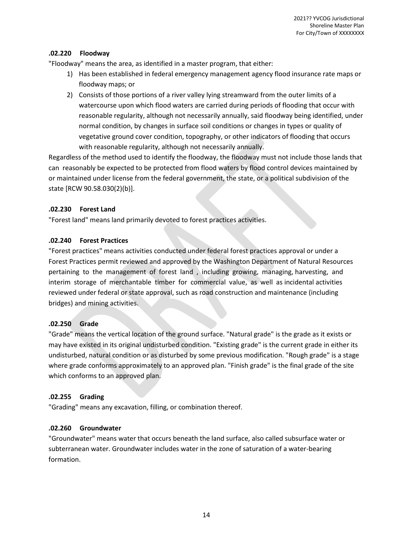## **.02.220 Floodway**

"Floodway" means the area, as identified in a master program, that either:

- 1) Has been established in federal emergency management agency flood insurance rate maps or floodway maps; or
- 2) Consists of those portions of a river valley lying streamward from the outer limits of a watercourse upon which flood waters are carried during periods of flooding that occur with reasonable regularity, although not necessarily annually, said floodway being identified, under normal condition, by changes in surface soil conditions or changes in types or quality of vegetative ground cover condition, topography, or other indicators of flooding that occurs with reasonable regularity, although not necessarily annually.

Regardless of the method used to identify the floodway, the floodway must not include those lands that can reasonably be expected to be protected from flood waters by flood control devices maintained by or maintained under license from the federal government, the state, or a political subdivision of the state [RCW 90.58.030(2)(b)].

## **.02.230 Forest Land**

"Forest land" means land primarily devoted to forest practices activities.

## **.02.240 Forest Practices**

"Forest practices" means activities conducted under federal forest practices approval or under a Forest Practices permit reviewed and approved by the Washington Department of Natural Resources pertaining to the management of forest land , including growing, managing, harvesting, and interim storage of merchantable timber for commercial value, as well as incidental activities reviewed under federal or state approval, such as road construction and maintenance (including bridges) and mining activities.

## **.02.250 Grade**

"Grade" means the vertical location of the ground surface. "Natural grade" is the grade as it exists or may have existed in its original undisturbed condition. "Existing grade" is the current grade in either its undisturbed, natural condition or as disturbed by some previous modification. "Rough grade" is a stage where grade conforms approximately to an approved plan. "Finish grade" is the final grade of the site which conforms to an approved plan.

#### **.02.255 Grading**

"Grading" means any excavation, filling, or combination thereof.

#### **.02.260 Groundwater**

"Groundwater" means water that occurs beneath the land surface, also called subsurface water or subterranean water. Groundwater includes water in the zone of saturation of a water-bearing formation.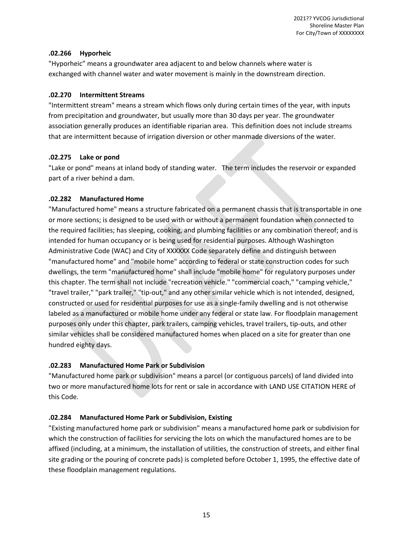#### **.02.266 Hyporheic**

"Hyporheic" means a groundwater area adjacent to and below channels where water is exchanged with channel water and water movement is mainly in the downstream direction.

## **.02.270 Intermittent Streams**

"Intermittent stream" means a stream which flows only during certain times of the year, with inputs from precipitation and groundwater, but usually more than 30 days per year. The groundwater association generally produces an identifiable riparian area. This definition does not include streams that are intermittent because of irrigation diversion or other manmade diversions of the water.

## **.02.275 Lake or pond**

"Lake or pond" means at inland body of standing water. The term includes the reservoir or expanded part of a river behind a dam.

## **.02.282 Manufactured Home**

"Manufactured home" means a structure fabricated on a permanent chassis that is transportable in one or more sections; is designed to be used with or without a permanent foundation when connected to the required facilities; has sleeping, cooking, and plumbing facilities or any combination thereof; and is intended for human occupancy or is being used for residential purposes. Although Washington Administrative Code (WAC) and City of XXXXXX Code separately define and distinguish between "manufactured home" and "mobile home" according to federal or state construction codes for such dwellings, the term "manufactured home" shall include "mobile home" for regulatory purposes under this chapter. The term shall not include "recreation vehicle." "commercial coach," "camping vehicle," "travel trailer," "park trailer," "tip-out," and any other similar vehicle which is not intended, designed, constructed or used for residential purposes for use as a single-family dwelling and is not otherwise labeled as a manufactured or mobile home under any federal or state law. For floodplain management purposes only under this chapter, park trailers, camping vehicles, travel trailers, tip-outs, and other similar vehicles shall be considered manufactured homes when placed on a site for greater than one hundred eighty days.

## **.02.283 Manufactured Home Park or Subdivision**

"Manufactured home park or subdivision" means a parcel (or contiguous parcels) of land divided into two or more manufactured home lots for rent or sale in accordance with LAND USE CITATION HERE of this Code.

## **.02.284 Manufactured Home Park or Subdivision, Existing**

"Existing manufactured home park or subdivision" means a manufactured home park or subdivision for which the construction of facilities for servicing the lots on which the manufactured homes are to be affixed (including, at a minimum, the installation of utilities, the construction of streets, and either final site grading or the pouring of concrete pads) is completed before October 1, 1995, the effective date of these floodplain management regulations.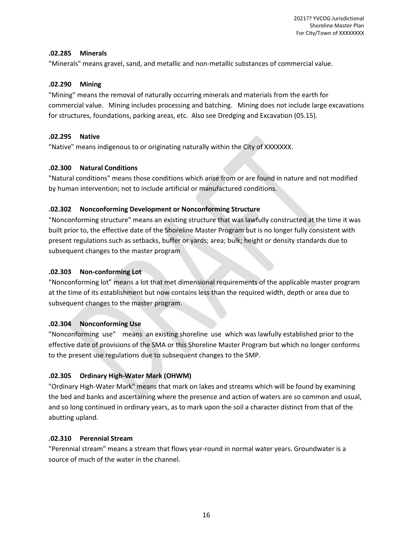#### **.02.285 Minerals**

"Minerals" means gravel, sand, and metallic and non-metallic substances of commercial value.

## **.02.290 Mining**

"Mining" means the removal of naturally occurring minerals and materials from the earth for commercial value. Mining includes processing and batching. Mining does not include large excavations for structures, foundations, parking areas, etc. Also see Dredging and Excavation (05.15).

## **.02.295 Native**

"Native" means indigenous to or originating naturally within the City of XXXXXXX.

## **.02.300 Natural Conditions**

"Natural conditions" means those conditions which arise from or are found in nature and not modified by human intervention; not to include artificial or manufactured conditions.

## **.02.302 Nonconforming Development or Nonconforming Structure**

"Nonconforming structure" means an existing structure that was lawfully constructed at the time it was built prior to, the effective date of the Shoreline Master Program but is no longer fully consistent with present regulations such as setbacks, buffer or yards; area; bulk; height or density standards due to subsequent changes to the master program

## **.02.303 Non-conforming Lot**

"Nonconforming lot" means a lot that met dimensional requirements of the applicable master program at the time of its establishment but now contains less than the required width, depth or area due to subsequent changes to the master program.

## **.02.304 Nonconforming Use**

"Nonconforming use" means an existing shoreline use which was lawfully established prior to the effective date of provisions of the SMA or this Shoreline Master Program but which no longer conforms to the present use regulations due to subsequent changes to the SMP.

## **.02.305 Ordinary High-Water Mark (OHWM)**

"Ordinary High-Water Mark" means that mark on lakes and streams which will be found by examining the bed and banks and ascertaining where the presence and action of waters are so common and usual, and so long continued in ordinary years, as to mark upon the soil a character distinct from that of the abutting upland.

## **.02.310 Perennial Stream**

"Perennial stream" means a stream that flows year-round in normal water years. Groundwater is a source of much of the water in the channel.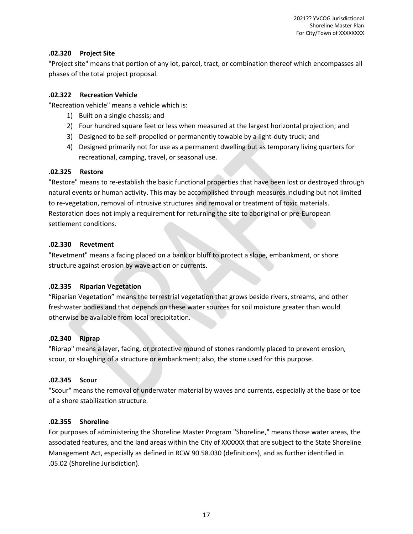## **.02.320 Project Site**

"Project site" means that portion of any lot, parcel, tract, or combination thereof which encompasses all phases of the total project proposal.

## **.02.322 Recreation Vehicle**

"Recreation vehicle" means a vehicle which is:

- 1) Built on a single chassis; and
- 2) Four hundred square feet or less when measured at the largest horizontal projection; and
- 3) Designed to be self-propelled or permanently towable by a light-duty truck; and
- 4) Designed primarily not for use as a permanent dwelling but as temporary living quarters for recreational, camping, travel, or seasonal use.

## **.02.325 Restore**

"Restore" means to re-establish the basic functional properties that have been lost or destroyed through natural events or human activity. This may be accomplished through measures including but not limited to re-vegetation, removal of intrusive structures and removal or treatment of toxic materials. Restoration does not imply a requirement for returning the site to aboriginal or pre-European settlement conditions.

## **.02.330 Revetment**

"Revetment" means a facing placed on a bank or bluff to protect a slope, embankment, or shore structure against erosion by wave action or currents.

## **.02.335 Riparian Vegetation**

"Riparian Vegetation" means the terrestrial vegetation that grows beside rivers, streams, and other freshwater bodies and that depends on these water sources for soil moisture greater than would otherwise be available from local precipitation.

## .**02.340 Riprap**

"Riprap" means a layer, facing, or protective mound of stones randomly placed to prevent erosion, scour, or sloughing of a structure or embankment; also, the stone used for this purpose.

## **.02.345 Scour**

"Scour" means the removal of underwater material by waves and currents, especially at the base or toe of a shore stabilization structure.

## **.02.355 Shoreline**

For purposes of administering the Shoreline Master Program "Shoreline," means those water areas, the associated features, and the land areas within the City of XXXXXX that are subject to the State Shoreline Management Act, especially as defined in RCW 90.58.030 (definitions), and as further identified in .05.02 (Shoreline Jurisdiction).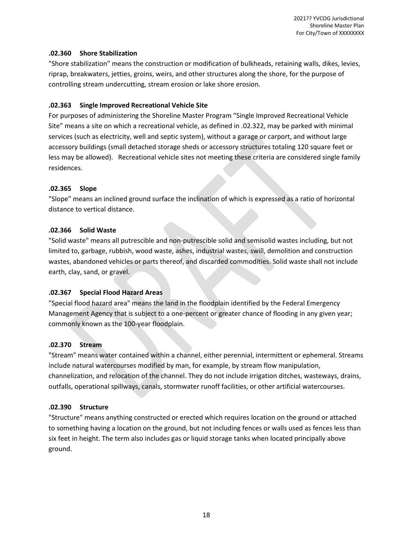## **.02.360 Shore Stabilization**

"Shore stabilization" means the construction or modification of bulkheads, retaining walls, dikes, levies, riprap, breakwaters, jetties, groins, weirs, and other structures along the shore, for the purpose of controlling stream undercutting, stream erosion or lake shore erosion.

## **.02.363 Single Improved Recreational Vehicle Site**

For purposes of administering the Shoreline Master Program "Single Improved Recreational Vehicle Site" means a site on which a recreational vehicle, as defined in .02.322, may be parked with minimal services (such as electricity, well and septic system), without a garage or carport, and without large accessory buildings (small detached storage sheds or accessory structures totaling 120 square feet or less may be allowed). Recreational vehicle sites not meeting these criteria are considered single family residences.

## **.02.365 Slope**

"Slope" means an inclined ground surface the inclination of which is expressed as a ratio of horizontal distance to vertical distance.

## **.02.366 Solid Waste**

"Solid waste" means all putrescible and non-putrescible solid and semisolid wastes including, but not limited to, garbage, rubbish, wood waste, ashes, industrial wastes, swill, demolition and construction wastes, abandoned vehicles or parts thereof, and discarded commodities. Solid waste shall not include earth, clay, sand, or gravel.

## **.02.367 Special Flood Hazard Areas**

"Special flood hazard area" means the land in the floodplain identified by the Federal Emergency Management Agency that is subject to a one-percent or greater chance of flooding in any given year; commonly known as the 100-year floodplain.

## **.02.370 Stream**

"Stream" means water contained within a channel, either perennial, intermittent or ephemeral. Streams include natural watercourses modified by man, for example, by stream flow manipulation, channelization, and relocation of the channel. They do not include irrigation ditches, wasteways, drains, outfalls, operational spillways, canals, stormwater runoff facilities, or other artificial watercourses.

## **.02.390 Structure**

"Structure" means anything constructed or erected which requires location on the ground or attached to something having a location on the ground, but not including fences or walls used as fences less than six feet in height. The term also includes gas or liquid storage tanks when located principally above ground.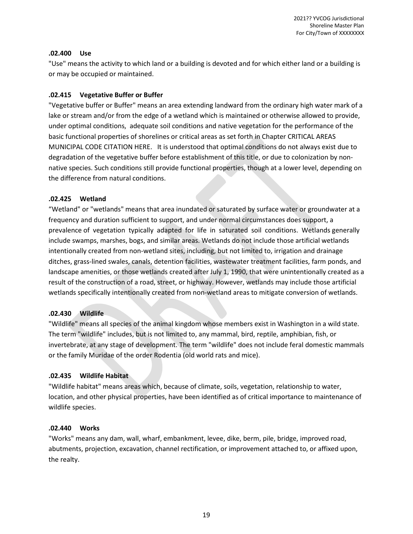#### **.02.400 Use**

"Use" means the activity to which land or a building is devoted and for which either land or a building is or may be occupied or maintained.

#### **.02.415 Vegetative Buffer or Buffer**

"Vegetative buffer or Buffer" means an area extending landward from the ordinary high water mark of a lake or stream and/or from the edge of a wetland which is maintained or otherwise allowed to provide, under optimal conditions, adequate soil conditions and native vegetation for the performance of the basic functional properties of shorelines or critical areas as set forth in Chapter CRITICAL AREAS MUNICIPAL CODE CITATION HERE. It is understood that optimal conditions do not always exist due to degradation of the vegetative buffer before establishment of this title, or due to colonization by nonnative species. Such conditions still provide functional properties, though at a lower level, depending on the difference from natural conditions.

#### **.02.425 Wetland**

"Wetland" or "wetlands" means that area inundated or saturated by surface water or groundwater at a frequency and duration sufficient to support, and under normal circumstances does support, a prevalence of vegetation typically adapted for life in saturated soil conditions. Wetlands generally include swamps, marshes, bogs, and similar areas. Wetlands do not include those artificial wetlands intentionally created from non-wetland sites, including, but not limited to, irrigation and drainage ditches, grass-lined swales, canals, detention facilities, wastewater treatment facilities, farm ponds, and landscape amenities, or those wetlands created after July 1, 1990, that were unintentionally created as a result of the construction of a road, street, or highway. However, wetlands may include those artificial wetlands specifically intentionally created from non-wetland areas to mitigate conversion of wetlands.

#### **.02.430 Wildlife**

"Wildlife" means all species of the animal kingdom whose members exist in Washington in a wild state. The term "wildlife" includes, but is not limited to, any mammal, bird, reptile, amphibian, fish, or invertebrate, at any stage of development. The term "wildlife" does not include feral domestic mammals or the family Muridae of the order Rodentia (old world rats and mice).

#### **.02.435 Wildlife Habitat**

"Wildlife habitat" means areas which, because of climate, soils, vegetation, relationship to water, location, and other physical properties, have been identified as of critical importance to maintenance of wildlife species.

#### **.02.440 Works**

"Works" means any dam, wall, wharf, embankment, levee, dike, berm, pile, bridge, improved road, abutments, projection, excavation, channel rectification, or improvement attached to, or affixed upon, the realty.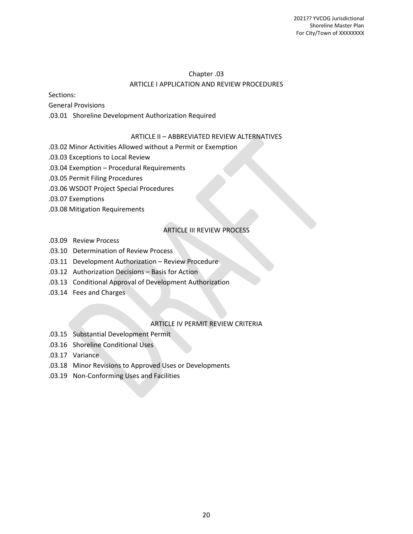## Chapter .03 ARTICLE I APPLICATION AND REVIEW PROCEDURES

Sections:

General Provisions

.03.01 Shoreline Development Authorization Required

## ARTICLE II – ABBREVIATED REVIEW ALTERNATIVES

.03.02 Minor Activities Allowed without a Permit or Exemption

- .03.03 Exceptions to Local Review
- .03.04 Exemption Procedural Requirements
- .03.05 Permit Filing Procedures
- .03.06 WSDOT Project Special Procedures
- .03.07 Exemptions
- .03.08 Mitigation Requirements

## ARTICLE III REVIEW PROCESS

- .03.09 Review Process
- .03.10 Determination of Review Process
- .03.11 Development Authorization Review Procedure
- .03.12 Authorization Decisions Basis for Action
- .03.13 Conditional Approval of Development Authorization
- .03.14 Fees and Charges

#### ARTICLE IV PERMIT REVIEW CRITERIA

- .03.15 Substantial Development Permit
- .03.16 Shoreline Conditional Uses
- .03.17 Variance
- .03.18 Minor Revisions to Approved Uses or Developments
- .03.19 Non-Conforming Uses and Facilities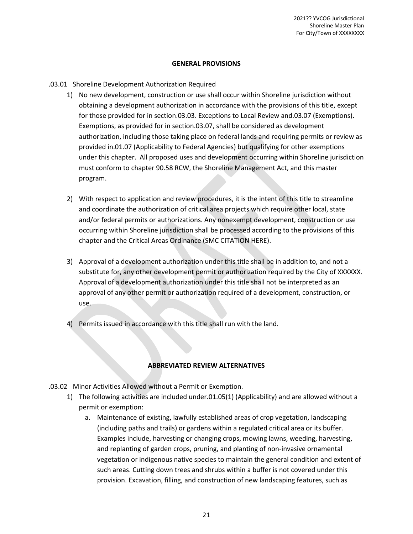#### **GENERAL PROVISIONS**

#### .03.01 Shoreline Development Authorization Required

- 1) No new development, construction or use shall occur within Shoreline jurisdiction without obtaining a development authorization in accordance with the provisions of this title, except for those provided for in section.03.03. Exceptions to Local Review and.03.07 (Exemptions). Exemptions, as provided for in section.03.07, shall be considered as development authorization, including those taking place on federal lands and requiring permits or review as provided in.01.07 (Applicability to Federal Agencies) but qualifying for other exemptions under this chapter. All proposed uses and development occurring within Shoreline jurisdiction must conform to chapter 90.58 RCW, the Shoreline Management Act, and this master program.
- 2) With respect to application and review procedures, it is the intent of this title to streamline and coordinate the authorization of critical area projects which require other local, state and/or federal permits or authorizations. Any nonexempt development, construction or use occurring within Shoreline jurisdiction shall be processed according to the provisions of this chapter and the Critical Areas Ordinance (SMC CITATION HERE).
- 3) Approval of a development authorization under this title shall be in addition to, and not a substitute for, any other development permit or authorization required by the City of XXXXXX. Approval of a development authorization under this title shall not be interpreted as an approval of any other permit or authorization required of a development, construction, or use.
- 4) Permits issued in accordance with this title shall run with the land.

#### **ABBREVIATED REVIEW ALTERNATIVES**

- .03.02 Minor Activities Allowed without a Permit or Exemption.
	- 1) The following activities are included under.01.05(1) (Applicability) and are allowed without a permit or exemption:
		- a. Maintenance of existing, lawfully established areas of crop vegetation, landscaping (including paths and trails) or gardens within a regulated critical area or its buffer. Examples include, harvesting or changing crops, mowing lawns, weeding, harvesting, and replanting of garden crops, pruning, and planting of non-invasive ornamental vegetation or indigenous native species to maintain the general condition and extent of such areas. Cutting down trees and shrubs within a buffer is not covered under this provision. Excavation, filling, and construction of new landscaping features, such as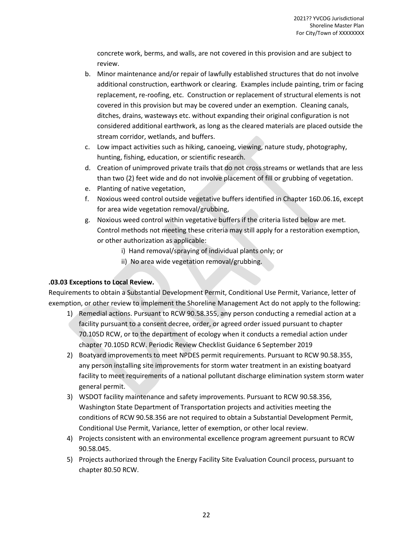concrete work, berms, and walls, are not covered in this provision and are subject to review.

- b. Minor maintenance and/or repair of lawfully established structures that do not involve additional construction, earthwork or clearing. Examples include painting, trim or facing replacement, re-roofing, etc. Construction or replacement of structural elements is not covered in this provision but may be covered under an exemption. Cleaning canals, ditches, drains, wasteways etc. without expanding their original configuration is not considered additional earthwork, as long as the cleared materials are placed outside the stream corridor, wetlands, and buffers.
- c. Low impact activities such as hiking, canoeing, viewing, nature study, photography, hunting, fishing, education, or scientific research.
- d. Creation of unimproved private trails that do not cross streams or wetlands that are less than two (2) feet wide and do not involve placement of fill or grubbing of vegetation.
- e. Planting of native vegetation,
- f. Noxious weed control outside vegetative buffers identified in Chapter 16D.06.16, except for area wide vegetation removal/grubbing,
- g. Noxious weed control within vegetative buffers if the criteria listed below are met. Control methods not meeting these criteria may still apply for a restoration exemption, or other authorization as applicable:
	- i) Hand removal/spraying of individual plants only; or
	- ii) No area wide vegetation removal/grubbing.

## **.03.03 Exceptions to Local Review.**

Requirements to obtain a Substantial Development Permit, Conditional Use Permit, Variance, letter of exemption, or other review to implement the Shoreline Management Act do not apply to the following:

- 1) Remedial actions. Pursuant to RCW 90.58.355, any person conducting a remedial action at a facility pursuant to a consent decree, order, or agreed order issued pursuant to chapter 70.105D RCW, or to the department of ecology when it conducts a remedial action under chapter 70.105D RCW. Periodic Review Checklist Guidance 6 September 2019
- 2) Boatyard improvements to meet NPDES permit requirements. Pursuant to RCW 90.58.355, any person installing site improvements for storm water treatment in an existing boatyard facility to meet requirements of a national pollutant discharge elimination system storm water general permit.
- 3) WSDOT facility maintenance and safety improvements. Pursuant to RCW 90.58.356, Washington State Department of Transportation projects and activities meeting the conditions of RCW 90.58.356 are not required to obtain a Substantial Development Permit, Conditional Use Permit, Variance, letter of exemption, or other local review.
- 4) Projects consistent with an environmental excellence program agreement pursuant to RCW 90.58.045.
- 5) Projects authorized through the Energy Facility Site Evaluation Council process, pursuant to chapter 80.50 RCW.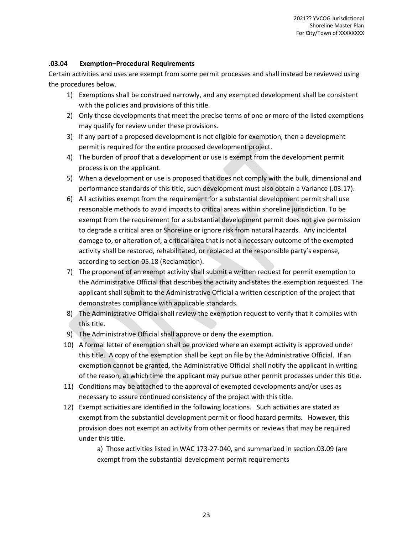## **.03.04 Exemption–Procedural Requirements**

Certain activities and uses are exempt from some permit processes and shall instead be reviewed using the procedures below.

- 1) Exemptions shall be construed narrowly, and any exempted development shall be consistent with the policies and provisions of this title.
- 2) Only those developments that meet the precise terms of one or more of the listed exemptions may qualify for review under these provisions.
- 3) If any part of a proposed development is not eligible for exemption, then a development permit is required for the entire proposed development project.
- 4) The burden of proof that a development or use is exempt from the development permit process is on the applicant.
- 5) When a development or use is proposed that does not comply with the bulk, dimensional and performance standards of this title, such development must also obtain a Variance (.03.17).
- 6) All activities exempt from the requirement for a substantial development permit shall use reasonable methods to avoid impacts to critical areas within shoreline jurisdiction. To be exempt from the requirement for a substantial development permit does not give permission to degrade a critical area or Shoreline or ignore risk from natural hazards. Any incidental damage to, or alteration of, a critical area that is not a necessary outcome of the exempted activity shall be restored, rehabilitated, or replaced at the responsible party's expense, according to section 05.18 (Reclamation).
- 7) The proponent of an exempt activity shall submit a written request for permit exemption to the Administrative Official that describes the activity and states the exemption requested. The applicant shall submit to the Administrative Official a written description of the project that demonstrates compliance with applicable standards.
- 8) The Administrative Official shall review the exemption request to verify that it complies with this title.
- 9) The Administrative Official shall approve or deny the exemption.
- 10) A formal letter of exemption shall be provided where an exempt activity is approved under this title. A copy of the exemption shall be kept on file by the Administrative Official. If an exemption cannot be granted, the Administrative Official shall notify the applicant in writing of the reason, at which time the applicant may pursue other permit processes under this title.
- 11) Conditions may be attached to the approval of exempted developments and/or uses as necessary to assure continued consistency of the project with this title.
- 12) Exempt activities are identified in the following locations. Such activities are stated as exempt from the substantial development permit or flood hazard permits. However, this provision does not exempt an activity from other permits or reviews that may be required under this title.

a) Those activities listed in WAC 173-27-040, and summarized in section.03.09 (are exempt from the substantial development permit requirements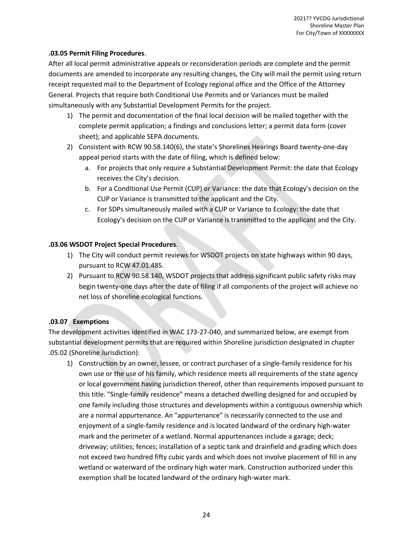## **.03.05 Permit Filing Procedures**.

After all local permit administrative appeals or reconsideration periods are complete and the permit documents are amended to incorporate any resulting changes, the City will mail the permit using return receipt requested mail to the Department of Ecology regional office and the Office of the Attorney General. Projects that require both Conditional Use Permits and or Variances must be mailed simultaneously with any Substantial Development Permits for the project.

- 1) The permit and documentation of the final local decision will be mailed together with the complete permit application; a findings and conclusions letter; a permit data form (cover sheet); and applicable SEPA documents.
- 2) Consistent with RCW 90.58.140(6), the state's Shorelines Hearings Board twenty-one-day appeal period starts with the date of filing, which is defined below:
	- a. For projects that only require a Substantial Development Permit: the date that Ecology receives the City's decision.
	- b. For a Conditional Use Permit (CUP) or Variance: the date that Ecology's decision on the CUP or Variance is transmitted to the applicant and the City.
	- c. For SDPs simultaneously mailed with a CUP or Variance to Ecology: the date that Ecology's decision on the CUP or Variance is transmitted to the applicant and the City.

#### **.03.06 WSDOT Project Special Procedures**.

- 1) The City will conduct permit reviews for WSDOT projects on state highways within 90 days, pursuant to RCW 47.01.485.
- 2) Pursuant to RCW 90.58.140, WSDOT projects that address significant public safety risks may begin twenty-one days after the date of filing if all components of the project will achieve no net loss of shoreline ecological functions.

## **.03.07 Exemptions**

The development activities identified in WAC 173-27-040, and summarized below, are exempt from substantial development permits that are required within Shoreline jurisdiction designated in chapter .05.02 (Shoreline Jurisdiction):

1) Construction by an owner, lessee, or contract purchaser of a single-family residence for his own use or the use of his family, which residence meets all requirements of the state agency or local government having jurisdiction thereof, other than requirements imposed pursuant to this title. "Single-family residence" means a detached dwelling designed for and occupied by one family including those structures and developments within a contiguous ownership which are a normal appurtenance. An "appurtenance" is necessarily connected to the use and enjoyment of a single-family residence and is located landward of the ordinary high-water mark and the perimeter of a wetland. Normal appurtenances include a garage; deck; driveway; utilities; fences; installation of a septic tank and drainfield and grading which does not exceed two hundred fifty cubic yards and which does not involve placement of fill in any wetland or waterward of the ordinary high water mark. Construction authorized under this exemption shall be located landward of the ordinary high-water mark.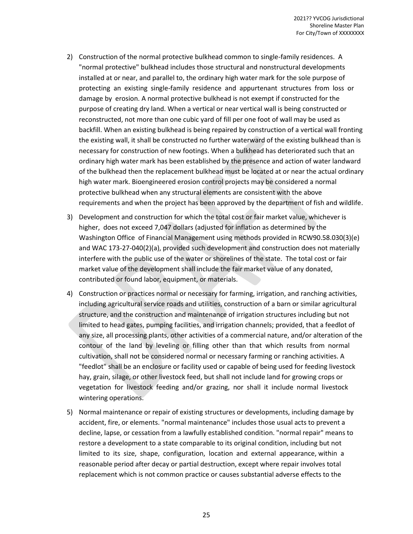- 2) Construction of the normal protective bulkhead common to single-family residences. A "normal protective" bulkhead includes those structural and nonstructural developments installed at or near, and parallel to, the ordinary high water mark for the sole purpose of protecting an existing single-family residence and appurtenant structures from loss or damage by erosion. A normal protective bulkhead is not exempt if constructed for the purpose of creating dry land. When a vertical or near vertical wall is being constructed or reconstructed, not more than one cubic yard of fill per one foot of wall may be used as backfill. When an existing bulkhead is being repaired by construction of a vertical wall fronting the existing wall, it shall be constructed no further waterward of the existing bulkhead than is necessary for construction of new footings. When a bulkhead has deteriorated such that an ordinary high water mark has been established by the presence and action of water landward of the bulkhead then the replacement bulkhead must be located at or near the actual ordinary high water mark. Bioengineered erosion control projects may be considered a normal protective bulkhead when any structural elements are consistent with the above requirements and when the project has been approved by the department of fish and wildlife.
- 3) Development and construction for which the total cost or fair market value, whichever is higher, does not exceed 7,047 dollars (adjusted for inflation as determined by the Washington Office of Financial Management using methods provided in RCW90.58.030(3)(e) and WAC 173-27-040(2)(a), provided such development and construction does not materially interfere with the public use of the water or shorelines of the state. The total cost or fair market value of the development shall include the fair market value of any donated, contributed or found labor, equipment, or materials.
- 4) Construction or practices normal or necessary for farming, irrigation, and ranching activities, including agricultural service roads and utilities, construction of a barn or similar agricultural structure, and the construction and maintenance of irrigation structures including but not limited to head gates, pumping facilities, and irrigation channels; provided, that a feedlot of any size, all processing plants, other activities of a commercial nature, and/or alteration of the contour of the land by leveling or filling other than that which results from normal cultivation, shall not be considered normal or necessary farming or ranching activities. A "feedlot" shall be an enclosure or facility used or capable of being used for feeding livestock hay, grain, silage, or other livestock feed, but shall not include land for growing crops or vegetation for livestock feeding and/or grazing, nor shall it include normal livestock wintering operations.
- 5) Normal maintenance or repair of existing structures or developments, including damage by accident, fire, or elements. "normal maintenance" includes those usual acts to prevent a decline, lapse, or cessation from a lawfully established condition. "normal repair" means to restore a development to a state comparable to its original condition, including but not limited to its size, shape, configuration, location and external appearance, within a reasonable period after decay or partial destruction, except where repair involves total replacement which is not common practice or causes substantial adverse effects to the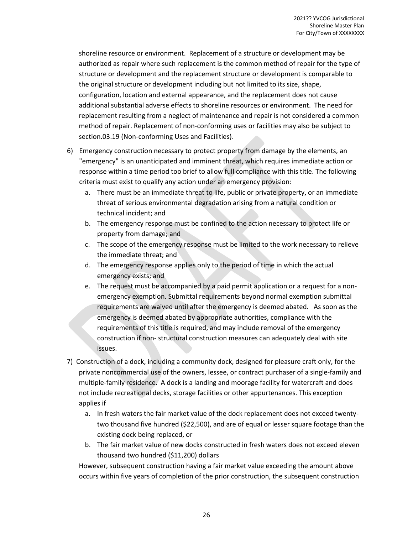shoreline resource or environment. Replacement of a structure or development may be authorized as repair where such replacement is the common method of repair for the type of structure or development and the replacement structure or development is comparable to the original structure or development including but not limited to its size, shape, configuration, location and external appearance, and the replacement does not cause additional substantial adverse effects to shoreline resources or environment. The need for replacement resulting from a neglect of maintenance and repair is not considered a common method of repair. Replacement of non-conforming uses or facilities may also be subject to section.03.19 (Non-conforming Uses and Facilities).

- 6) Emergency construction necessary to protect property from damage by the elements, an "emergency" is an unanticipated and imminent threat, which requires immediate action or response within a time period too brief to allow full compliance with this title. The following criteria must exist to qualify any action under an emergency provision:
	- a. There must be an immediate threat to life, public or private property, or an immediate threat of serious environmental degradation arising from a natural condition or technical incident; and
	- b. The emergency response must be confined to the action necessary to protect life or property from damage; and
	- c. The scope of the emergency response must be limited to the work necessary to relieve the immediate threat; and
	- d. The emergency response applies only to the period of time in which the actual emergency exists; and
	- e. The request must be accompanied by a paid permit application or a request for a nonemergency exemption. Submittal requirements beyond normal exemption submittal requirements are waived until after the emergency is deemed abated. As soon as the emergency is deemed abated by appropriate authorities, compliance with the requirements of this title is required, and may include removal of the emergency construction if non- structural construction measures can adequately deal with site issues.
- 7) Construction of a dock, including a community dock, designed for pleasure craft only, for the private noncommercial use of the owners, lessee, or contract purchaser of a single-family and multiple-family residence. A dock is a landing and moorage facility for watercraft and does not include recreational decks, storage facilities or other appurtenances. This exception applies if
	- a. In fresh waters the fair market value of the dock replacement does not exceed twentytwo thousand five hundred (\$22,500), and are of equal or lesser square footage than the existing dock being replaced, or
	- b. The fair market value of new docks constructed in fresh waters does not exceed eleven thousand two hundred (\$11,200) dollars

However, subsequent construction having a fair market value exceeding the amount above occurs within five years of completion of the prior construction, the subsequent construction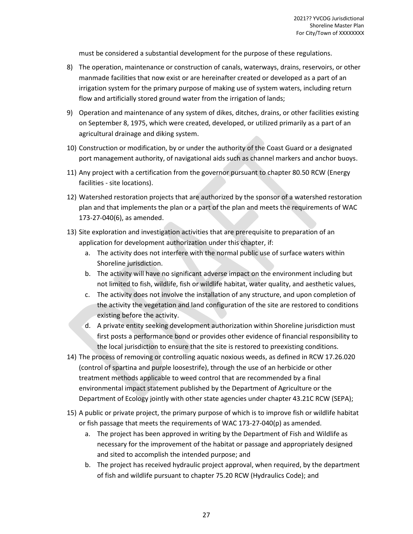must be considered a substantial development for the purpose of these regulations.

- 8) The operation, maintenance or construction of canals, waterways, drains, reservoirs, or other manmade facilities that now exist or are hereinafter created or developed as a part of an irrigation system for the primary purpose of making use of system waters, including return flow and artificially stored ground water from the irrigation of lands;
- 9) Operation and maintenance of any system of dikes, ditches, drains, or other facilities existing on September 8, 1975, which were created, developed, or utilized primarily as a part of an agricultural drainage and diking system.
- 10) Construction or modification, by or under the authority of the Coast Guard or a designated port management authority, of navigational aids such as channel markers and anchor buoys.
- 11) Any project with a certification from the governor pursuant to chapter 80.50 RCW (Energy facilities - site locations).
- 12) Watershed restoration projects that are authorized by the sponsor of a watershed restoration plan and that implements the plan or a part of the plan and meets the requirements of WAC 173-27-040(6), as amended.
- 13) Site exploration and investigation activities that are prerequisite to preparation of an application for development authorization under this chapter, if:
	- a. The activity does not interfere with the normal public use of surface waters within Shoreline jurisdiction.
	- b. The activity will have no significant adverse impact on the environment including but not limited to fish, wildlife, fish or wildlife habitat, water quality, and aesthetic values,
	- c. The activity does not involve the installation of any structure, and upon completion of the activity the vegetation and land configuration of the site are restored to conditions existing before the activity.
	- d. A private entity seeking development authorization within Shoreline jurisdiction must first posts a performance bond or provides other evidence of financial responsibility to the local jurisdiction to ensure that the site is restored to preexisting conditions.
- 14) The process of removing or controlling aquatic noxious weeds, as defined in RCW 17.26.020 (control of spartina and purple loosestrife), through the use of an herbicide or other treatment methods applicable to weed control that are recommended by a final environmental impact statement published by the Department of Agriculture or the Department of Ecology jointly with other state agencies under chapter 43.21C RCW (SEPA);
- 15) A public or private project, the primary purpose of which is to improve fish or wildlife habitat or fish passage that meets the requirements of WAC 173-27-040(p) as amended.
	- a. The project has been approved in writing by the Department of Fish and Wildlife as necessary for the improvement of the habitat or passage and appropriately designed and sited to accomplish the intended purpose; and
	- b. The project has received hydraulic project approval, when required, by the department of fish and wildlife pursuant to chapter 75.20 RCW (Hydraulics Code); and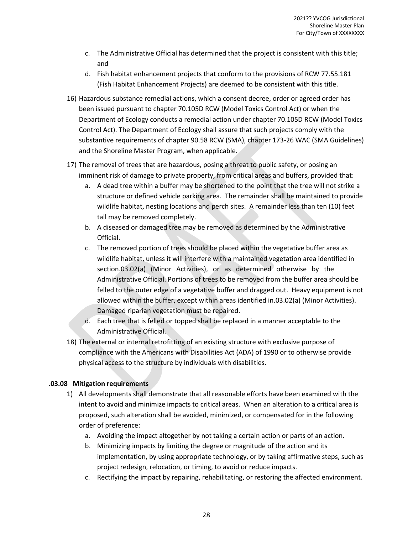- c. The Administrative Official has determined that the project is consistent with this title; and
- d. Fish habitat enhancement projects that conform to the provisions of RCW 77.55.181 (Fish Habitat Enhancement Projects) are deemed to be consistent with this title.
- 16) Hazardous substance remedial actions, which a consent decree, order or agreed order has been issued pursuant to chapter 70.105D RCW (Model Toxics Control Act) or when the Department of Ecology conducts a remedial action under chapter 70.105D RCW (Model Toxics Control Act). The Department of Ecology shall assure that such projects comply with the substantive requirements of chapter 90.58 RCW (SMA), chapter 173-26 WAC (SMA Guidelines) and the Shoreline Master Program, when applicable.
- 17) The removal of trees that are hazardous, posing a threat to public safety, or posing an imminent risk of damage to private property, from critical areas and buffers, provided that:
	- a. A dead tree within a buffer may be shortened to the point that the tree will not strike a structure or defined vehicle parking area. The remainder shall be maintained to provide wildlife habitat, nesting locations and perch sites. A remainder less than ten (10) feet tall may be removed completely.
	- b. A diseased or damaged tree may be removed as determined by the Administrative Official.
	- c. The removed portion of trees should be placed within the vegetative buffer area as wildlife habitat, unless it will interfere with a maintained vegetation area identified in section.03.02(a) (Minor Activities), or as determined otherwise by the Administrative Official. Portions of trees to be removed from the buffer area should be felled to the outer edge of a vegetative buffer and dragged out. Heavy equipment is not allowed within the buffer, except within areas identified in.03.02(a) (Minor Activities). Damaged riparian vegetation must be repaired.
	- d. Each tree that is felled or topped shall be replaced in a manner acceptable to the Administrative Official.
- 18) The external or internal retrofitting of an existing structure with exclusive purpose of compliance with the Americans with Disabilities Act (ADA) of 1990 or to otherwise provide physical access to the structure by individuals with disabilities.

## **.03.08 Mitigation requirements**

- 1) All developments shall demonstrate that all reasonable efforts have been examined with the intent to avoid and minimize impacts to critical areas. When an alteration to a critical area is proposed, such alteration shall be avoided, minimized, or compensated for in the following order of preference:
	- a. Avoiding the impact altogether by not taking a certain action or parts of an action.
	- b. Minimizing impacts by limiting the degree or magnitude of the action and its implementation, by using appropriate technology, or by taking affirmative steps, such as project redesign, relocation, or timing, to avoid or reduce impacts.
	- c. Rectifying the impact by repairing, rehabilitating, or restoring the affected environment.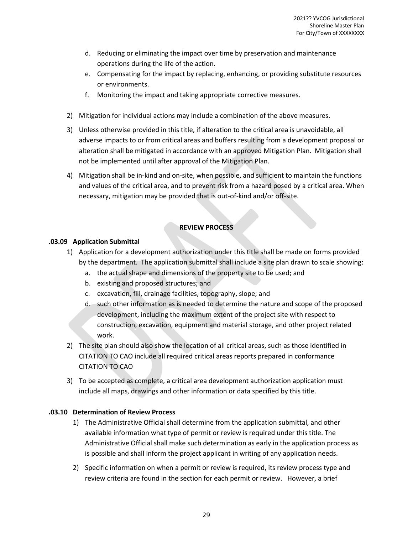- d. Reducing or eliminating the impact over time by preservation and maintenance operations during the life of the action.
- e. Compensating for the impact by replacing, enhancing, or providing substitute resources or environments.
- f. Monitoring the impact and taking appropriate corrective measures.
- 2) Mitigation for individual actions may include a combination of the above measures.
- 3) Unless otherwise provided in this title, if alteration to the critical area is unavoidable, all adverse impacts to or from critical areas and buffers resulting from a development proposal or alteration shall be mitigated in accordance with an approved Mitigation Plan. Mitigation shall not be implemented until after approval of the Mitigation Plan.
- 4) Mitigation shall be in-kind and on-site, when possible, and sufficient to maintain the functions and values of the critical area, and to prevent risk from a hazard posed by a critical area. When necessary, mitigation may be provided that is out-of-kind and/or off-site.

## **REVIEW PROCESS**

## **.03.09 Application Submittal**

- 1) Application for a development authorization under this title shall be made on forms provided by the department. The application submittal shall include a site plan drawn to scale showing:
	- a. the actual shape and dimensions of the property site to be used; and
	- b. existing and proposed structures; and
	- c. excavation, fill, drainage facilities, topography, slope; and
	- d. such other information as is needed to determine the nature and scope of the proposed development, including the maximum extent of the project site with respect to construction, excavation, equipment and material storage, and other project related work.
- 2) The site plan should also show the location of all critical areas, such as those identified in CITATION TO CAO include all required critical areas reports prepared in conformance CITATION TO CAO
- 3) To be accepted as complete, a critical area development authorization application must include all maps, drawings and other information or data specified by this title.

## **.03.10 Determination of Review Process**

- 1) The Administrative Official shall determine from the application submittal, and other available information what type of permit or review is required under this title. The Administrative Official shall make such determination as early in the application process as is possible and shall inform the project applicant in writing of any application needs.
- 2) Specific information on when a permit or review is required, its review process type and review criteria are found in the section for each permit or review. However, a brief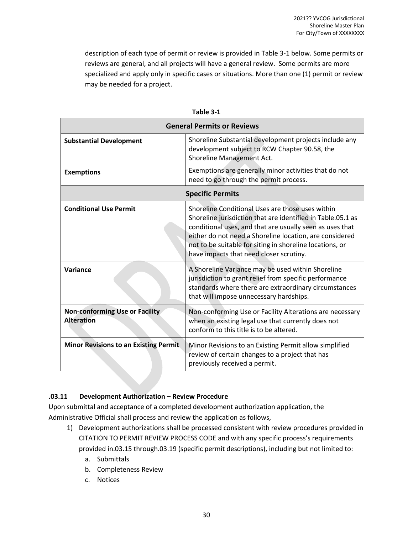description of each type of permit or review is provided in Table 3-1 below. Some permits or reviews are general, and all projects will have a general review. Some permits are more specialized and apply only in specific cases or situations. More than one (1) permit or review may be needed for a project.

|                                                            | <b>General Permits or Reviews</b>                                                                                                                                                                                                                                                                                                             |
|------------------------------------------------------------|-----------------------------------------------------------------------------------------------------------------------------------------------------------------------------------------------------------------------------------------------------------------------------------------------------------------------------------------------|
| <b>Substantial Development</b>                             | Shoreline Substantial development projects include any<br>development subject to RCW Chapter 90.58, the<br>Shoreline Management Act.                                                                                                                                                                                                          |
| <b>Exemptions</b>                                          | Exemptions are generally minor activities that do not<br>need to go through the permit process.                                                                                                                                                                                                                                               |
|                                                            | <b>Specific Permits</b>                                                                                                                                                                                                                                                                                                                       |
| <b>Conditional Use Permit</b>                              | Shoreline Conditional Uses are those uses within<br>Shoreline jurisdiction that are identified in Table.05.1 as<br>conditional uses, and that are usually seen as uses that<br>either do not need a Shoreline location, are considered<br>not to be suitable for siting in shoreline locations, or<br>have impacts that need closer scrutiny. |
| Variance                                                   | A Shoreline Variance may be used within Shoreline<br>jurisdiction to grant relief from specific performance<br>standards where there are extraordinary circumstances<br>that will impose unnecessary hardships.                                                                                                                               |
| <b>Non-conforming Use or Facility</b><br><b>Alteration</b> | Non-conforming Use or Facility Alterations are necessary<br>when an existing legal use that currently does not<br>conform to this title is to be altered.                                                                                                                                                                                     |
| <b>Minor Revisions to an Existing Permit</b>               | Minor Revisions to an Existing Permit allow simplified<br>review of certain changes to a project that has<br>previously received a permit.                                                                                                                                                                                                    |

**Table 3-1**

## **.03.11 Development Authorization – Review Procedure**

Upon submittal and acceptance of a completed development authorization application, the Administrative Official shall process and review the application as follows,

- 1) Development authorizations shall be processed consistent with review procedures provided in CITATION TO PERMIT REVIEW PROCESS CODE and with any specific process's requirements provided in.03.15 through.03.19 (specific permit descriptions), including but not limited to:
	- a. Submittals
	- b. Completeness Review
	- c. Notices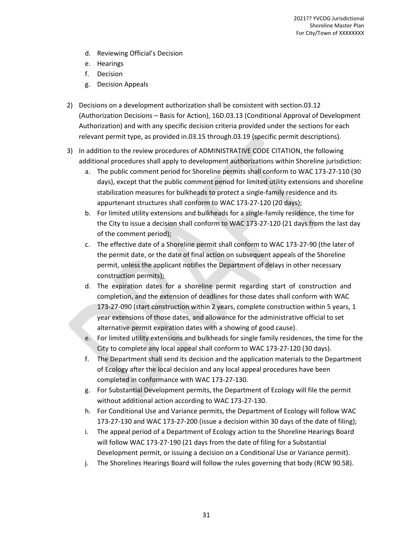- d. Reviewing Official's Decision
- e. Hearings
- f. Decision
- g. Decision Appeals
- 2) Decisions on a development authorization shall be consistent with section.03.12 (Authorization Decisions – Basis for Action), 16D.03.13 (Conditional Approval of Development Authorization) and with any specific decision criteria provided under the sections for each relevant permit type, as provided in.03.15 through.03.19 (specific permit descriptions).
- 3) In addition to the review procedures of ADMINISTRATIVE CODE CITATION, the following additional procedures shall apply to development authorizations within Shoreline jurisdiction:
	- a. The public comment period for Shoreline permits shall conform to WAC 173-27-110 (30 days), except that the public comment period for limited utility extensions and shoreline stabilization measures for bulkheads to protect a single-family residence and its appurtenant structures shall conform to WAC 173-27-120 (20 days);
	- b. For limited utility extensions and bulkheads for a single-family residence, the time for the City to issue a decision shall conform to WAC 173-27-120 (21 days from the last day of the comment period);
	- c. The effective date of a Shoreline permit shall conform to WAC 173-27-90 (the later of the permit date, or the date of final action on subsequent appeals of the Shoreline permit, unless the applicant notifies the Department of delays in other necessary construction permits);
	- d. The expiration dates for a shoreline permit regarding start of construction and completion, and the extension of deadlines for those dates shall conform with WAC 173-27-090 (start construction within 2 years, complete construction within 5 years, 1 year extensions of those dates, and allowance for the administrative official to set alternative permit expiration dates with a showing of good cause).
	- e. For limited utility extensions and bulkheads for single family residences, the time for the City to complete any local appeal shall conform to WAC 173-27-120 (30 days).
	- f. The Department shall send its decision and the application materials to the Department of Ecology after the local decision and any local appeal procedures have been completed in conformance with WAC 173-27-130.
	- g. For Substantial Development permits, the Department of Ecology will file the permit without additional action according to WAC 173-27-130.
	- h. For Conditional Use and Variance permits, the Department of Ecology will follow WAC 173-27-130 and WAC 173-27-200 (issue a decision within 30 days of the date of filing);
	- i. The appeal period of a Department of Ecology action to the Shoreline Hearings Board will follow WAC 173-27-190 (21 days from the date of filing for a Substantial Development permit, or issuing a decision on a Conditional Use or Variance permit).
	- j. The Shorelines Hearings Board will follow the rules governing that body (RCW 90.58).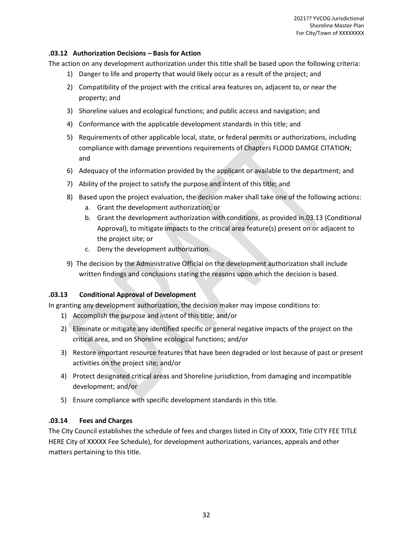## **.03.12 Authorization Decisions – Basis for Action**

The action on any development authorization under this title shall be based upon the following criteria:

- 1) Danger to life and property that would likely occur as a result of the project; and
- 2) Compatibility of the project with the critical area features on, adjacent to, or near the property; and
- 3) Shoreline values and ecological functions; and public access and navigation; and
- 4) Conformance with the applicable development standards in this title; and
- 5) Requirements of other applicable local, state, or federal permits or authorizations, including compliance with damage preventions requirements of Chapters FLOOD DAMGE CITATION; and
- 6) Adequacy of the information provided by the applicant or available to the department; and
- 7) Ability of the project to satisfy the purpose and intent of this title; and
- 8) Based upon the project evaluation, the decision maker shall take one of the following actions:
	- a. Grant the development authorization; or
	- b. Grant the development authorization with conditions, as provided in.03.13 (Conditional Approval), to mitigate impacts to the critical area feature(s) present on or adjacent to the project site; or
	- c. Deny the development authorization.
- 9) The decision by the Administrative Official on the development authorization shall include written findings and conclusions stating the reasons upon which the decision is based.

## **.03.13 Conditional Approval of Development**

In granting any development authorization, the decision maker may impose conditions to:

- 1) Accomplish the purpose and intent of this title; and/or
- 2) Eliminate or mitigate any identified specific or general negative impacts of the project on the critical area, and on Shoreline ecological functions; and/or
- 3) Restore important resource features that have been degraded or lost because of past or present activities on the project site; and/or
- 4) Protect designated critical areas and Shoreline jurisdiction, from damaging and incompatible development; and/or
- 5) Ensure compliance with specific development standards in this title.

## **.03.14 Fees and Charges**

The City Council establishes the schedule of fees and charges listed in City of XXXX, Title CITY FEE TITLE HERE City of XXXXX Fee Schedule), for development authorizations, variances, appeals and other matters pertaining to this title.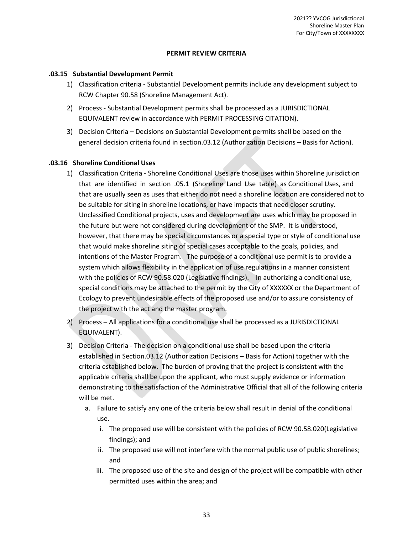#### **PERMIT REVIEW CRITERIA**

#### **.03.15 Substantial Development Permit**

- 1) Classification criteria Substantial Development permits include any development subject to RCW Chapter 90.58 (Shoreline Management Act).
- 2) Process Substantial Development permits shall be processed as a JURISDICTIONAL EQUIVALENT review in accordance with PERMIT PROCESSING CITATION).
- 3) Decision Criteria Decisions on Substantial Development permits shall be based on the general decision criteria found in section.03.12 (Authorization Decisions – Basis for Action).

## **.03.16 Shoreline Conditional Uses**

- 1) Classification Criteria Shoreline Conditional Uses are those uses within Shoreline jurisdiction that are identified in section .05.1 (Shoreline Land Use table) as Conditional Uses, and that are usually seen as uses that either do not need a shoreline location are considered not to be suitable for siting in shoreline locations, or have impacts that need closer scrutiny. Unclassified Conditional projects, uses and development are uses which may be proposed in the future but were not considered during development of the SMP. It is understood, however, that there may be special circumstances or a special type or style of conditional use that would make shoreline siting of special cases acceptable to the goals, policies, and intentions of the Master Program. The purpose of a conditional use permit is to provide a system which allows flexibility in the application of use regulations in a manner consistent with the policies of RCW 90.58.020 (Legislative findings). In authorizing a conditional use, special conditions may be attached to the permit by the City of XXXXXX or the Department of Ecology to prevent undesirable effects of the proposed use and/or to assure consistency of the project with the act and the master program.
- 2) Process All applications for a conditional use shall be processed as a JURISDICTIONAL EQUIVALENT).
- 3) Decision Criteria The decision on a conditional use shall be based upon the criteria established in Section.03.12 (Authorization Decisions – Basis for Action) together with the criteria established below. The burden of proving that the project is consistent with the applicable criteria shall be upon the applicant, who must supply evidence or information demonstrating to the satisfaction of the Administrative Official that all of the following criteria will be met.
	- a. Failure to satisfy any one of the criteria below shall result in denial of the conditional use.
		- i. The proposed use will be consistent with the policies of RCW 90.58.020(Legislative findings); and
		- ii. The proposed use will not interfere with the normal public use of public shorelines; and
		- iii. The proposed use of the site and design of the project will be compatible with other permitted uses within the area; and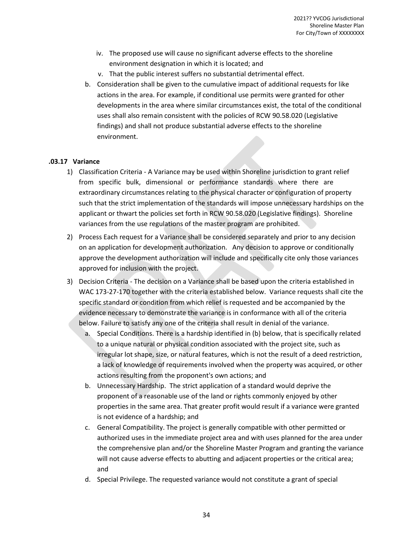- iv. The proposed use will cause no significant adverse effects to the shoreline environment designation in which it is located; and
- v. That the public interest suffers no substantial detrimental effect.
- b. Consideration shall be given to the cumulative impact of additional requests for like actions in the area. For example, if conditional use permits were granted for other developments in the area where similar circumstances exist, the total of the conditional uses shall also remain consistent with the policies of RCW 90.58.020 (Legislative findings) and shall not produce substantial adverse effects to the shoreline environment.

## **.03.17 Variance**

- 1) Classification Criteria A Variance may be used within Shoreline jurisdiction to grant relief from specific bulk, dimensional or performance standards where there are extraordinary circumstances relating to the physical character or configuration of property such that the strict implementation of the standards will impose unnecessary hardships on the applicant or thwart the policies set forth in RCW 90.58.020 (Legislative findings). Shoreline variances from the use regulations of the master program are prohibited.
- 2) Process Each request for a Variance shall be considered separately and prior to any decision on an application for development authorization. Any decision to approve or conditionally approve the development authorization will include and specifically cite only those variances approved for inclusion with the project.
- 3) Decision Criteria The decision on a Variance shall be based upon the criteria established in WAC 173-27-170 together with the criteria established below. Variance requests shall cite the specific standard or condition from which relief is requested and be accompanied by the evidence necessary to demonstrate the variance is in conformance with all of the criteria below. Failure to satisfy any one of the criteria shall result in denial of the variance.
	- a. Special Conditions. There is a hardship identified in (b) below, that is specifically related to a unique natural or physical condition associated with the project site, such as irregular lot shape, size, or natural features, which is not the result of a deed restriction, a lack of knowledge of requirements involved when the property was acquired, or other actions resulting from the proponent's own actions; and
	- b. Unnecessary Hardship. The strict application of a standard would deprive the proponent of a reasonable use of the land or rights commonly enjoyed by other properties in the same area. That greater profit would result if a variance were granted is not evidence of a hardship; and
	- c. General Compatibility. The project is generally compatible with other permitted or authorized uses in the immediate project area and with uses planned for the area under the comprehensive plan and/or the Shoreline Master Program and granting the variance will not cause adverse effects to abutting and adjacent properties or the critical area; and
	- d. Special Privilege. The requested variance would not constitute a grant of special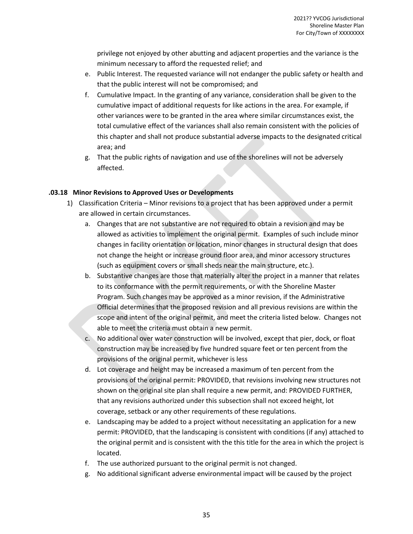privilege not enjoyed by other abutting and adjacent properties and the variance is the minimum necessary to afford the requested relief; and

- e. Public Interest. The requested variance will not endanger the public safety or health and that the public interest will not be compromised; and
- f. Cumulative Impact. In the granting of any variance, consideration shall be given to the cumulative impact of additional requests for like actions in the area. For example, if other variances were to be granted in the area where similar circumstances exist, the total cumulative effect of the variances shall also remain consistent with the policies of this chapter and shall not produce substantial adverse impacts to the designated critical area; and
- g. That the public rights of navigation and use of the shorelines will not be adversely affected.

## **.03.18 Minor Revisions to Approved Uses or Developments**

- 1) Classification Criteria Minor revisions to a project that has been approved under a permit are allowed in certain circumstances.
	- a. Changes that are not substantive are not required to obtain a revision and may be allowed as activities to implement the original permit. Examples of such include minor changes in facility orientation or location, minor changes in structural design that does not change the height or increase ground floor area, and minor accessory structures (such as equipment covers or small sheds near the main structure, etc.).
	- b. Substantive changes are those that materially alter the project in a manner that relates to its conformance with the permit requirements, or with the Shoreline Master Program. Such changes may be approved as a minor revision, if the Administrative Official determines that the proposed revision and all previous revisions are within the scope and intent of the original permit, and meet the criteria listed below. Changes not able to meet the criteria must obtain a new permit.
	- c. No additional over water construction will be involved, except that pier, dock, or float construction may be increased by five hundred square feet or ten percent from the provisions of the original permit, whichever is less
	- d. Lot coverage and height may be increased a maximum of ten percent from the provisions of the original permit: PROVIDED, that revisions involving new structures not shown on the original site plan shall require a new permit, and: PROVIDED FURTHER, that any revisions authorized under this subsection shall not exceed height, lot coverage, setback or any other requirements of these regulations.
	- e. Landscaping may be added to a project without necessitating an application for a new permit: PROVIDED, that the landscaping is consistent with conditions (if any) attached to the original permit and is consistent with the this title for the area in which the project is located.
	- f. The use authorized pursuant to the original permit is not changed.
	- g. No additional significant adverse environmental impact will be caused by the project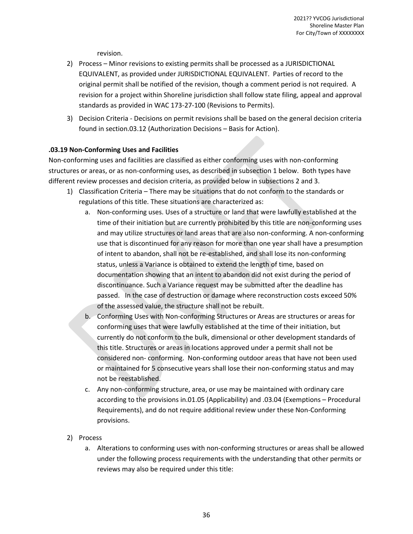revision.

- 2) Process Minor revisions to existing permits shall be processed as a JURISDICTIONAL EQUIVALENT, as provided under JURISDICTIONAL EQUIVALENT. Parties of record to the original permit shall be notified of the revision, though a comment period is not required. A revision for a project within Shoreline jurisdiction shall follow state filing, appeal and approval standards as provided in WAC 173-27-100 (Revisions to Permits).
- 3) Decision Criteria Decisions on permit revisions shall be based on the general decision criteria found in section.03.12 (Authorization Decisions – Basis for Action).

## **.03.19 Non-Conforming Uses and Facilities**

Non-conforming uses and facilities are classified as either conforming uses with non-conforming structures or areas, or as non-conforming uses, as described in subsection 1 below. Both types have different review processes and decision criteria, as provided below in subsections 2 and 3.

- 1) Classification Criteria There may be situations that do not conform to the standards or regulations of this title. These situations are characterized as:
	- a. Non-conforming uses. Uses of a structure or land that were lawfully established at the time of their initiation but are currently prohibited by this title are non-conforming uses and may utilize structures or land areas that are also non-conforming. A non-conforming use that is discontinued for any reason for more than one year shall have a presumption of intent to abandon, shall not be re-established, and shall lose its non-conforming status, unless a Variance is obtained to extend the length of time, based on documentation showing that an intent to abandon did not exist during the period of discontinuance. Such a Variance request may be submitted after the deadline has passed. In the case of destruction or damage where reconstruction costs exceed 50% of the assessed value, the structure shall not be rebuilt.
	- b. Conforming Uses with Non-conforming Structures or Areas are structures or areas for conforming uses that were lawfully established at the time of their initiation, but currently do not conform to the bulk, dimensional or other development standards of this title. Structures or areas in locations approved under a permit shall not be considered non- conforming. Non-conforming outdoor areas that have not been used or maintained for 5 consecutive years shall lose their non-conforming status and may not be reestablished.
	- c. Any non-conforming structure, area, or use may be maintained with ordinary care according to the provisions in.01.05 (Applicability) and .03.04 (Exemptions – Procedural Requirements), and do not require additional review under these Non-Conforming provisions.
- 2) Process
	- a. Alterations to conforming uses with non-conforming structures or areas shall be allowed under the following process requirements with the understanding that other permits or reviews may also be required under this title: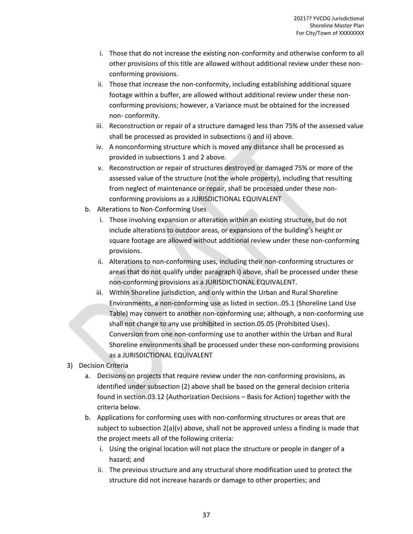- i. Those that do not increase the existing non-conformity and otherwise conform to all other provisions of this title are allowed without additional review under these nonconforming provisions.
- ii. Those that increase the non-conformity, including establishing additional square footage within a buffer, are allowed without additional review under these nonconforming provisions; however, a Variance must be obtained for the increased non- conformity.
- iii. Reconstruction or repair of a structure damaged less than 75% of the assessed value shall be processed as provided in subsections i) and ii) above.
- iv. A nonconforming structure which is moved any distance shall be processed as provided in subsections 1 and 2 above.
- v. Reconstruction or repair of structures destroyed or damaged 75% or more of the assessed value of the structure (not the whole property), including that resulting from neglect of maintenance or repair, shall be processed under these nonconforming provisions as a JURISDICTIONAL EQUIVALENT
- b. Alterations to Non-Conforming Uses
	- i. Those involving expansion or alteration within an existing structure, but do not include alterations to outdoor areas, or expansions of the building's height or square footage are allowed without additional review under these non-conforming provisions.
	- ii. Alterations to non-conforming uses, including their non-conforming structures or areas that do not qualify under paragraph i) above, shall be processed under these non-conforming provisions as a JURISDICTIONAL EQUIVALENT.
	- iii. Within Shoreline jurisdiction, and only within the Urban and Rural Shoreline Environments, a non-conforming use as listed in section..05.1 (Shoreline Land Use Table) may convert to another non-conforming use; although, a non-conforming use shall not change to any use prohibited in section.05.05 (Prohibited Uses). Conversion from one non-conforming use to another within the Urban and Rural Shoreline environments shall be processed under these non-conforming provisions as a JURISDICTIONAL EQUIVALENT
- 3) Decision Criteria
	- a. Decisions on projects that require review under the non-conforming provisions, as identified under subsection (2) above shall be based on the general decision criteria found in section.03.12 (Authorization Decisions – Basis for Action) together with the criteria below.
	- b. Applications for conforming uses with non-conforming structures or areas that are subject to subsection  $2(a)(v)$  above, shall not be approved unless a finding is made that the project meets all of the following criteria:
		- i. Using the original location will not place the structure or people in danger of a hazard; and
		- ii. The previous structure and any structural shore modification used to protect the structure did not increase hazards or damage to other properties; and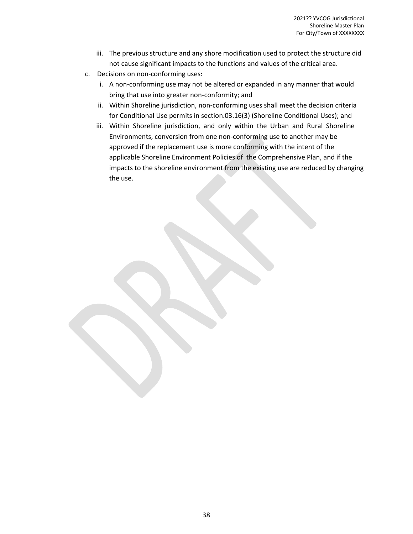- iii. The previous structure and any shore modification used to protect the structure did not cause significant impacts to the functions and values of the critical area.
- c. Decisions on non-conforming uses:
	- i. A non-conforming use may not be altered or expanded in any manner that would bring that use into greater non-conformity; and
	- ii. Within Shoreline jurisdiction, non-conforming uses shall meet the decision criteria for Conditional Use permits in section.03.16(3) (Shoreline Conditional Uses); and
	- iii. Within Shoreline jurisdiction, and only within the Urban and Rural Shoreline Environments, conversion from one non-conforming use to another may be approved if the replacement use is more conforming with the intent of the applicable Shoreline Environment Policies of the Comprehensive Plan, and if the impacts to the shoreline environment from the existing use are reduced by changing the use.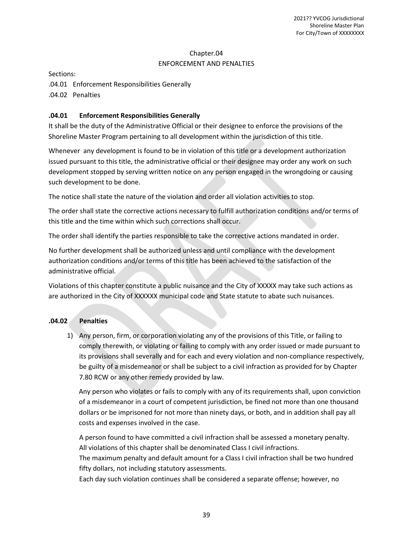## Chapter.04 ENFORCEMENT AND PENALTIES

Sections:

.04.01 Enforcement Responsibilities Generally .04.02 Penalties

## **.04.01 Enforcement Responsibilities Generally**

It shall be the duty of the Administrative Official or their designee to enforce the provisions of the Shoreline Master Program pertaining to all development within the jurisdiction of this title.

Whenever any development is found to be in violation of this title or a development authorization issued pursuant to this title, the administrative official or their designee may order any work on such development stopped by serving written notice on any person engaged in the wrongdoing or causing such development to be done.

The notice shall state the nature of the violation and order all violation activities to stop.

The order shall state the corrective actions necessary to fulfill authorization conditions and/or terms of this title and the time within which such corrections shall occur.

The order shall identify the parties responsible to take the corrective actions mandated in order.

No further development shall be authorized unless and until compliance with the development authorization conditions and/or terms of this title has been achieved to the satisfaction of the administrative official.

Violations of this chapter constitute a public nuisance and the City of XXXXX may take such actions as are authorized in the City of XXXXXX municipal code and State statute to abate such nuisances.

#### **.04.02 Penalties**

1) Any person, firm, or corporation violating any of the provisions of this Title, or failing to comply therewith, or violating or failing to comply with any order issued or made pursuant to its provisions shall severally and for each and every violation and non-compliance respectively, be guilty of a misdemeanor or shall be subject to a civil infraction as provided for by Chapter 7.80 RCW or any other remedy provided by law.

Any person who violates or fails to comply with any of its requirements shall, upon conviction of a misdemeanor in a court of competent jurisdiction, be fined not more than one thousand dollars or be imprisoned for not more than ninety days, or both, and in addition shall pay all costs and expenses involved in the case.

A person found to have committed a civil infraction shall be assessed a monetary penalty. All violations of this chapter shall be denominated Class I civil infractions.

The maximum penalty and default amount for a Class I civil infraction shall be two hundred fifty dollars, not including statutory assessments.

Each day such violation continues shall be considered a separate offense; however, no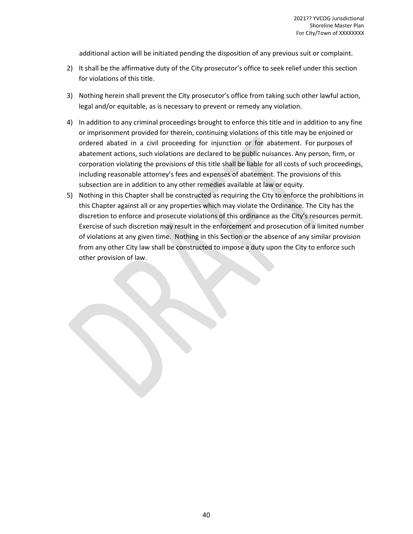additional action will be initiated pending the disposition of any previous suit or complaint.

- 2) It shall be the affirmative duty of the City prosecutor's office to seek relief under this section for violations of this title.
- 3) Nothing herein shall prevent the City prosecutor's office from taking such other lawful action, legal and/or equitable, as is necessary to prevent or remedy any violation.
- 4) In addition to any criminal proceedings brought to enforce this title and in addition to any fine or imprisonment provided for therein, continuing violations of this title may be enjoined or ordered abated in a civil proceeding for injunction or for abatement. For purposes of abatement actions, such violations are declared to be public nuisances. Any person, firm, or corporation violating the provisions of this title shall be liable for all costs of such proceedings, including reasonable attorney's fees and expenses of abatement. The provisions of this subsection are in addition to any other remedies available at law or equity.
- 5) Nothing in this Chapter shall be constructed as requiring the City to enforce the prohibitions in this Chapter against all or any properties which may violate the Ordinance. The City has the discretion to enforce and prosecute violations of this ordinance as the City's resources permit. Exercise of such discretion may result in the enforcement and prosecution of a limited number of violations at any given time. Nothing in this Section or the absence of any similar provision from any other City law shall be constructed to impose a duty upon the City to enforce such other provision of law.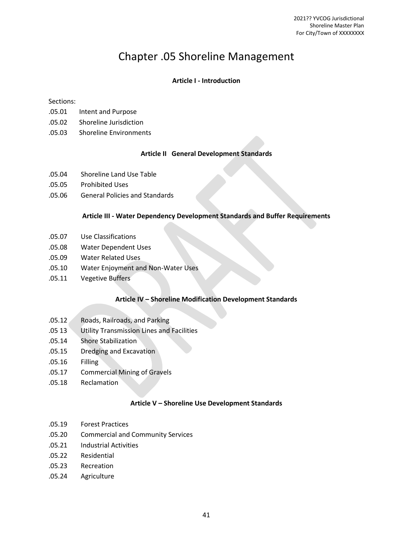# Chapter .05 Shoreline Management

#### **Article I - Introduction**

#### Sections:

- .05.01 Intent and Purpose
- .05.02 Shoreline Jurisdiction
- .05.03 Shoreline Environments

#### **Article II General Development Standards**

- .05.04 Shoreline Land Use Table
- .05.05 Prohibited Uses
- .05.06 General Policies and Standards

#### **Article III - Water Dependency Development Standards and Buffer Requirements**

- .05.07 Use Classifications
- .05.08 Water Dependent Uses
- .05.09 Water Related Uses
- .05.10 Water Enjoyment and Non-Water Uses
- .05.11 Vegetive Buffers

#### **Article IV – Shoreline Modification Development Standards**

- .05.12 Roads, Railroads, and Parking
- .05 13 Utility Transmission Lines and Facilities
- .05.14 Shore Stabilization
- .05.15 Dredging and Excavation
- .05.16 Filling
- .05.17 Commercial Mining of Gravels
- .05.18 Reclamation

#### **Article V – Shoreline Use Development Standards**

- .05.19 Forest Practices
- .05.20 Commercial and Community Services
- .05.21 Industrial Activities
- .05.22 Residential
- .05.23 Recreation
- .05.24 Agriculture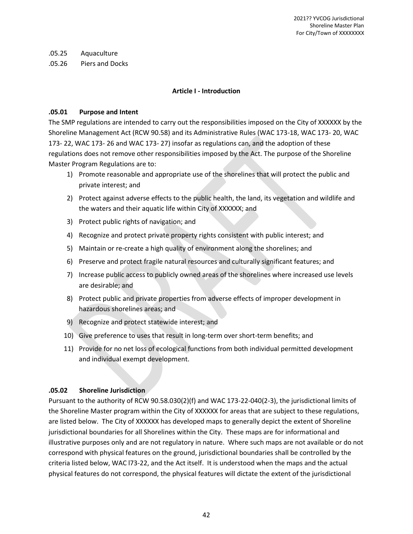#### .05.25 Aquaculture

.05.26 Piers and Docks

## **Article I - Introduction**

## **.05.01 Purpose and Intent**

The SMP regulations are intended to carry out the responsibilities imposed on the City of XXXXXX by the Shoreline Management Act (RCW 90.58) and its Administrative Rules (WAC 173-18, WAC 173- 20, WAC 173- 22, WAC 173- 26 and WAC 173- 27) insofar as regulations can, and the adoption of these regulations does not remove other responsibilities imposed by the Act. The purpose of the Shoreline Master Program Regulations are to:

- 1) Promote reasonable and appropriate use of the shorelines that will protect the public and private interest; and
- 2) Protect against adverse effects to the public health, the land, its vegetation and wildlife and the waters and their aquatic life within City of XXXXXX; and
- 3) Protect public rights of navigation; and
- 4) Recognize and protect private property rights consistent with public interest; and
- 5) Maintain or re-create a high quality of environment along the shorelines; and
- 6) Preserve and protect fragile natural resources and culturally significant features; and
- 7) Increase public access to publicly owned areas of the shorelines where increased use levels are desirable; and
- 8) Protect public and private properties from adverse effects of improper development in hazardous shorelines areas; and
- 9) Recognize and protect statewide interest; and
- 10) Give preference to uses that result in long-term over short-term benefits; and
- 11) Provide for no net loss of ecological functions from both individual permitted development and individual exempt development.

## **.05.02 Shoreline Jurisdiction**

Pursuant to the authority of RCW 90.58.030(2)(f) and WAC 173-22-040(2-3), the jurisdictional limits of the Shoreline Master program within the City of XXXXXX for areas that are subject to these regulations, are listed below. The City of XXXXXX has developed maps to generally depict the extent of Shoreline jurisdictional boundaries for all Shorelines within the City. These maps are for informational and illustrative purposes only and are not regulatory in nature. Where such maps are not available or do not correspond with physical features on the ground, jurisdictional boundaries shall be controlled by the criteria listed below, WAC l73-22, and the Act itself. It is understood when the maps and the actual physical features do not correspond, the physical features will dictate the extent of the jurisdictional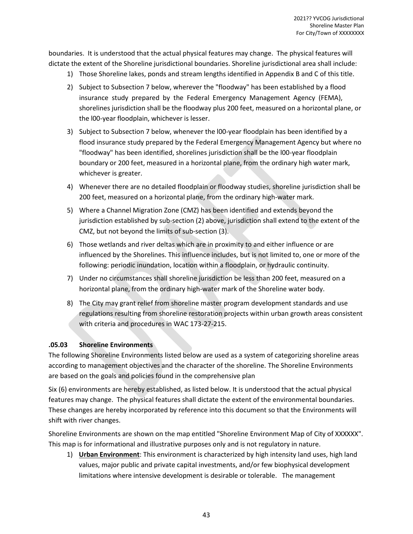boundaries. It is understood that the actual physical features may change. The physical features will dictate the extent of the Shoreline jurisdictional boundaries. Shoreline jurisdictional area shall include:

- 1) Those Shoreline lakes, ponds and stream lengths identified in Appendix B and C of this title.
- 2) Subject to Subsection 7 below, wherever the "floodway" has been established by a flood insurance study prepared by the Federal Emergency Management Agency (FEMA), shorelines jurisdiction shall be the floodway plus 200 feet, measured on a horizontal plane, or the l00-year floodplain, whichever is lesser.
- 3) Subject to Subsection 7 below, whenever the l00-year floodplain has been identified by a flood insurance study prepared by the Federal Emergency Management Agency but where no "floodway" has been identified, shorelines jurisdiction shall be the l00-year floodplain boundary or 200 feet, measured in a horizontal plane, from the ordinary high water mark, whichever is greater.
- 4) Whenever there are no detailed floodplain or floodway studies, shoreline jurisdiction shall be 200 feet, measured on a horizontal plane, from the ordinary high-water mark.
- 5) Where a Channel Migration Zone (CMZ) has been identified and extends beyond the jurisdiction established by sub-section (2) above, jurisdiction shall extend to the extent of the CMZ, but not beyond the limits of sub-section (3).
- 6) Those wetlands and river deltas which are in proximity to and either influence or are influenced by the Shorelines. This influence includes, but is not limited to, one or more of the following: periodic inundation, location within a floodplain, or hydraulic continuity.
- 7) Under no circumstances shall shoreline jurisdiction be less than 200 feet, measured on a horizontal plane, from the ordinary high-water mark of the Shoreline water body.
- 8) The City may grant relief from shoreline master program development standards and use regulations resulting from shoreline restoration projects within urban growth areas consistent with criteria and procedures in WAC 173-27-215.

## **.05.03 Shoreline Environments**

The following Shoreline Environments listed below are used as a system of categorizing shoreline areas according to management objectives and the character of the shoreline. The Shoreline Environments are based on the goals and policies found in the comprehensive plan

Six (6) environments are hereby established, as listed below. It is understood that the actual physical features may change. The physical features shall dictate the extent of the environmental boundaries. These changes are hereby incorporated by reference into this document so that the Environments will shift with river changes.

Shoreline Environments are shown on the map entitled "Shoreline Environment Map of City of XXXXXX". This map is for informational and illustrative purposes only and is not regulatory in nature.

1) **Urban Environment**: This environment is characterized by high intensity land uses, high land values, major public and private capital investments, and/or few biophysical development limitations where intensive development is desirable or tolerable. The management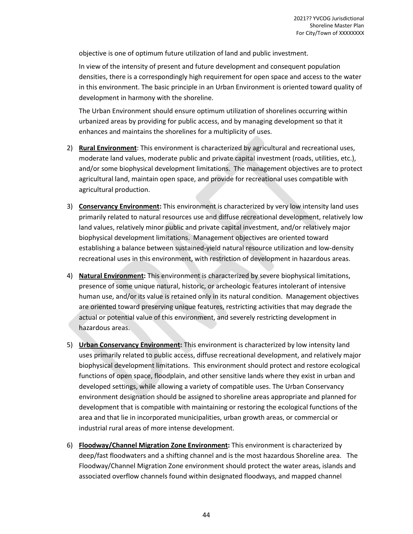objective is one of optimum future utilization of land and public investment.

In view of the intensity of present and future development and consequent population densities, there is a correspondingly high requirement for open space and access to the water in this environment. The basic principle in an Urban Environment is oriented toward quality of development in harmony with the shoreline.

The Urban Environment should ensure optimum utilization of shorelines occurring within urbanized areas by providing for public access, and by managing development so that it enhances and maintains the shorelines for a multiplicity of uses.

- 2) **Rural Environment**: This environment is characterized by agricultural and recreational uses, moderate land values, moderate public and private capital investment (roads, utilities, etc.), and/or some biophysical development limitations. The management objectives are to protect agricultural land, maintain open space, and provide for recreational uses compatible with agricultural production.
- 3) **Conservancy Environment:** This environment is characterized by very low intensity land uses primarily related to natural resources use and diffuse recreational development, relatively low land values, relatively minor public and private capital investment, and/or relatively major biophysical development limitations. Management objectives are oriented toward establishing a balance between sustained-yield natural resource utilization and low-density recreational uses in this environment, with restriction of development in hazardous areas.
- 4) **Natural Environment:** This environment is characterized by severe biophysical limitations, presence of some unique natural, historic, or archeologic features intolerant of intensive human use, and/or its value is retained only in its natural condition. Management objectives are oriented toward preserving unique features, restricting activities that may degrade the actual or potential value of this environment, and severely restricting development in hazardous areas.
- 5) **Urban Conservancy Environment:** This environment is characterized by low intensity land uses primarily related to public access, diffuse recreational development, and relatively major biophysical development limitations. This environment should protect and restore ecological functions of open space, floodplain, and other sensitive lands where they exist in urban and developed settings, while allowing a variety of compatible uses. The Urban Conservancy environment designation should be assigned to shoreline areas appropriate and planned for development that is compatible with maintaining or restoring the ecological functions of the area and that lie in incorporated municipalities, urban growth areas, or commercial or industrial rural areas of more intense development.
- 6) **Floodway/Channel Migration Zone Environment:** This environment is characterized by deep/fast floodwaters and a shifting channel and is the most hazardous Shoreline area. The Floodway/Channel Migration Zone environment should protect the water areas, islands and associated overflow channels found within designated floodways, and mapped channel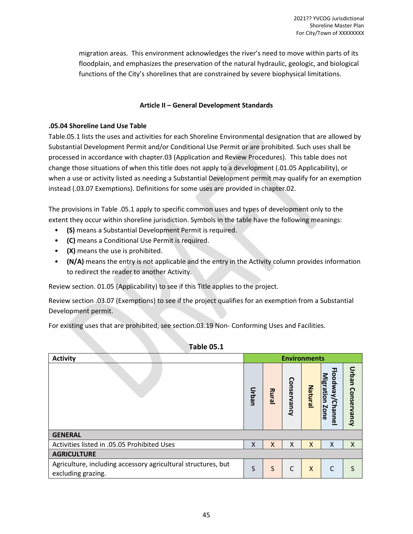migration areas. This environment acknowledges the river's need to move within parts of its floodplain, and emphasizes the preservation of the natural hydraulic, geologic, and biological functions of the City's shorelines that are constrained by severe biophysical limitations.

## **Article II – General Development Standards**

#### **.05.04 Shoreline Land Use Table**

Table.05.1 lists the uses and activities for each Shoreline Environmental designation that are allowed by Substantial Development Permit and/or Conditional Use Permit or are prohibited. Such uses shall be processed in accordance with chapter.03 (Application and Review Procedures). This table does not change those situations of when this title does not apply to a development (.01.05 Applicability), or when a use or activity listed as needing a Substantial Development permit may qualify for an exemption instead (.03.07 Exemptions). Definitions for some uses are provided in chapter.02.

The provisions in Table .05.1 apply to specific common uses and types of development only to the extent they occur within shoreline jurisdiction. Symbols in the table have the following meanings:

- **(S)** means a Substantial Development Permit is required.
- **(C)** means a Conditional Use Permit is required.
- **(X)** means the use is prohibited.
- **(N/A)** means the entry is not applicable and the entry in the Activity column provides information to redirect the reader to another Activity.

Review section. 01.05 (Applicability) to see if this Title applies to the project.

Review section .03.07 (Exemptions) to see if the project qualifies for an exemption from a Substantial Development permit.

For existing uses that are prohibited, see section.03.19 Non- Conforming Uses and Facilities.

| LUMIC OS.T                                                                          |                     |       |             |                           |                                       |                   |  |
|-------------------------------------------------------------------------------------|---------------------|-------|-------------|---------------------------|---------------------------------------|-------------------|--|
| <b>Activity</b>                                                                     | <b>Environments</b> |       |             |                           |                                       |                   |  |
|                                                                                     | Urban               | Rural | Conservancy | Natural                   | Floodway/Channel<br>Migration<br>Zone | Urban Conservancy |  |
| <b>GENERAL</b>                                                                      |                     |       |             |                           |                                       |                   |  |
| Activities listed in .05.05 Prohibited Uses                                         | X                   | X     | X           | X                         | X                                     | X                 |  |
| <b>AGRICULTURE</b>                                                                  |                     |       |             |                           |                                       |                   |  |
| Agriculture, including accessory agricultural structures, but<br>excluding grazing. | S                   | S     | C           | $\boldsymbol{\mathsf{X}}$ | C                                     | S                 |  |

## **Table 05.1**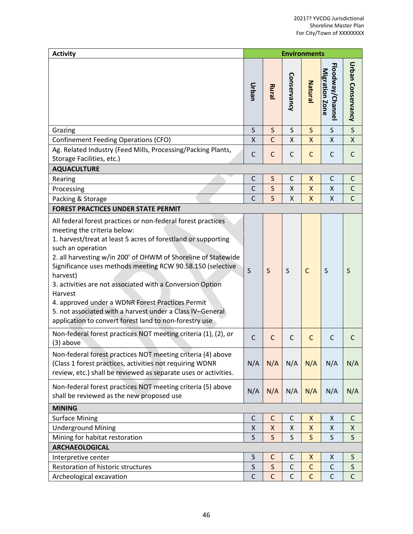| <b>Activity</b>                                                                                                                                                                                                                                                                                                                                                                                                                                                                                                                                                                 |              | <b>Environments</b> |              |                |                                   |                         |  |
|---------------------------------------------------------------------------------------------------------------------------------------------------------------------------------------------------------------------------------------------------------------------------------------------------------------------------------------------------------------------------------------------------------------------------------------------------------------------------------------------------------------------------------------------------------------------------------|--------------|---------------------|--------------|----------------|-----------------------------------|-------------------------|--|
|                                                                                                                                                                                                                                                                                                                                                                                                                                                                                                                                                                                 | Urban        | Rural               | Conservancy  | Natura         | Floodway/Channe<br>Migration Zone | Urban Conservancy       |  |
| Grazing                                                                                                                                                                                                                                                                                                                                                                                                                                                                                                                                                                         | $\mathsf S$  | $\mathsf{S}$        | S            | $\mathsf{S}$   | S                                 | $\overline{\mathsf{S}}$ |  |
| <b>Confinement Feeding Operations (CFO)</b>                                                                                                                                                                                                                                                                                                                                                                                                                                                                                                                                     | X            | $\overline{C}$      | Χ            | X              | X                                 | $\mathsf{X}$            |  |
| Ag. Related Industry (Feed Mills, Processing/Packing Plants,<br>Storage Facilities, etc.)                                                                                                                                                                                                                                                                                                                                                                                                                                                                                       | C            | $\mathsf{C}$        | $\mathsf{C}$ | $\mathsf{C}$   | $\mathsf{C}$                      | $\mathsf{C}$            |  |
| <b>AQUACULTURE</b>                                                                                                                                                                                                                                                                                                                                                                                                                                                                                                                                                              |              |                     |              |                |                                   |                         |  |
| Rearing                                                                                                                                                                                                                                                                                                                                                                                                                                                                                                                                                                         | $\mathsf{C}$ | $\sf S$             | C            | X              | C                                 | $\mathsf{C}$            |  |
| Processing                                                                                                                                                                                                                                                                                                                                                                                                                                                                                                                                                                      | $\mathsf{C}$ | $\mathsf{S}$        | X            | $\overline{X}$ | X                                 | $\mathsf{C}$            |  |
| Packing & Storage                                                                                                                                                                                                                                                                                                                                                                                                                                                                                                                                                               | $\mathsf{C}$ | $\mathsf{S}$        | X.           | X              | Χ                                 | $\mathsf{C}$            |  |
| <b>FOREST PRACTICES UNDER STATE PERMIT</b>                                                                                                                                                                                                                                                                                                                                                                                                                                                                                                                                      |              |                     |              |                |                                   |                         |  |
| All federal forest practices or non-federal forest practices<br>meeting the criteria below:<br>1. harvest/treat at least 5 acres of forestland or supporting<br>such an operation<br>2. all harvesting w/in 200' of OHWM of Shoreline of Statewide<br>Significance uses methods meeting RCW 90.58.150 (selective<br>harvest)<br>3. activities are not associated with a Conversion Option<br>Harvest<br>4. approved under a WDNR Forest Practices Permit<br>5. not associated with a harvest under a Class IV-General<br>application to convert forest land to non-forestry use | S            | S                   | S            | $\mathsf{C}$   | S                                 | S                       |  |
| Non-federal forest practices NOT meeting criteria (1), (2), or<br>(3) above                                                                                                                                                                                                                                                                                                                                                                                                                                                                                                     | C            | $\mathsf{C}$        | C            | C              | C                                 | C                       |  |
| Non-federal forest practices NOT meeting criteria (4) above<br>(Class 1 forest practices, activities not requiring WDNR<br>review, etc.) shall be reviewed as separate uses or activities.                                                                                                                                                                                                                                                                                                                                                                                      | N/A          | N/A                 | N/A          | N/A            | N/A                               | N/A                     |  |
| Non-federal forest practices NOT meeting criteria (5) above<br>shall be reviewed as the new proposed use                                                                                                                                                                                                                                                                                                                                                                                                                                                                        | N/A          | N/A                 | N/A          | N/A            | N/A                               | N/A                     |  |
| <b>MINING</b>                                                                                                                                                                                                                                                                                                                                                                                                                                                                                                                                                                   |              |                     |              |                |                                   |                         |  |
| <b>Surface Mining</b>                                                                                                                                                                                                                                                                                                                                                                                                                                                                                                                                                           | $\mathsf{C}$ | $\mathsf{C}$        | C            | Χ              | Χ                                 | $\mathsf{C}$            |  |
| <b>Underground Mining</b>                                                                                                                                                                                                                                                                                                                                                                                                                                                                                                                                                       | Χ            | Χ                   | Χ            | X              | Χ                                 | Χ                       |  |
| Mining for habitat restoration                                                                                                                                                                                                                                                                                                                                                                                                                                                                                                                                                  | $\mathsf S$  | $\mathsf{S}$        | S            | $\mathsf S$    | $\mathsf S$                       | $\mathsf S$             |  |
| <b>ARCHAEOLOGICAL</b>                                                                                                                                                                                                                                                                                                                                                                                                                                                                                                                                                           |              |                     |              |                |                                   |                         |  |
| Interpretive center                                                                                                                                                                                                                                                                                                                                                                                                                                                                                                                                                             | S            | C                   | C            | X              | X                                 | S                       |  |
| Restoration of historic structures                                                                                                                                                                                                                                                                                                                                                                                                                                                                                                                                              | $\mathsf{S}$ | $\mathsf{S}$        | C            | $\mathsf{C}$   | $\mathsf{C}$                      | $\sf S$                 |  |
| Archeological excavation                                                                                                                                                                                                                                                                                                                                                                                                                                                                                                                                                        | $\mathsf C$  | $\mathsf{C}$        | C            | $\mathsf{C}$   | $\mathsf{C}$                      | $\mathsf{C}$            |  |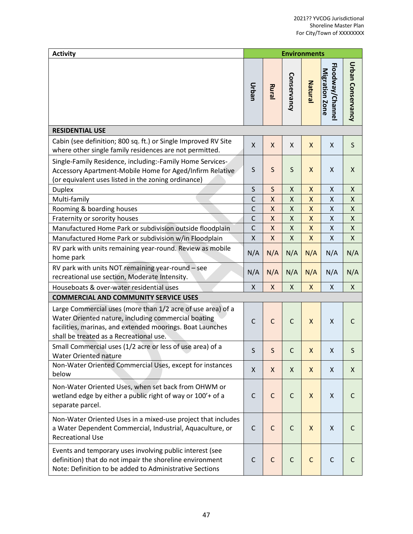| <b>Activity</b>                                                                                                                                                                                                            |                    |                           | <b>Environments</b>       |              |                                    |                    |
|----------------------------------------------------------------------------------------------------------------------------------------------------------------------------------------------------------------------------|--------------------|---------------------------|---------------------------|--------------|------------------------------------|--------------------|
|                                                                                                                                                                                                                            | Urban              | Rural                     | Conservancy               | Natural      | Floodway/Channel<br>Migration Zone | Urban Conservancy  |
| <b>RESIDENTIAL USE</b>                                                                                                                                                                                                     |                    |                           |                           |              |                                    |                    |
| Cabin (see definition; 800 sq. ft.) or Single Improved RV Site<br>where other single family residences are not permitted.                                                                                                  | X                  | X                         | $\mathsf{X}$              | X            | Χ                                  | $\mathsf S$        |
| Single-Family Residence, including:-Family Home Services-<br>Accessory Apartment-Mobile Home for Aged/Infirm Relative<br>(or equivalent uses listed in the zoning ordinance)                                               | S                  | S                         | S                         | X            | X                                  | X                  |
| <b>Duplex</b>                                                                                                                                                                                                              | S                  | $\mathsf{S}$              | $\pmb{\mathsf{X}}$        | X            | Χ                                  | $\pmb{\mathsf{X}}$ |
| Multi-family                                                                                                                                                                                                               | $\mathsf C$        | $\pmb{\mathsf{X}}$        | $\pmb{\mathsf{X}}$        | X            | Χ                                  | X                  |
| Rooming & boarding houses                                                                                                                                                                                                  | $\mathsf{C}$       | $\mathsf{X}$              | $\pmb{\mathsf{X}}$        | X            | X                                  | $\pmb{\mathsf{X}}$ |
| Fraternity or sorority houses                                                                                                                                                                                              | $\mathsf{C}$       | $\mathsf{X}$              | $\pmb{\mathsf{X}}$        | X            | X                                  | $\pmb{\mathsf{X}}$ |
| Manufactured Home Park or subdivision outside floodplain                                                                                                                                                                   | $\mathsf C$        | $\mathsf{X}$              | $\pmb{\mathsf{X}}$        | X            | $\pmb{\mathsf{X}}$                 | $\pmb{\mathsf{X}}$ |
| Manufactured Home Park or subdivision w/in Floodplain                                                                                                                                                                      | $\pmb{\mathsf{X}}$ | $\mathsf{X}$              | $\pmb{\mathsf{X}}$        | X            | X                                  | $\pmb{\mathsf{X}}$ |
| RV park with units remaining year-round. Review as mobile<br>home park                                                                                                                                                     | N/A                | N/A                       | N/A                       | N/A          | N/A                                | N/A                |
| RV park with units NOT remaining year-round - see<br>recreational use section, Moderate Intensity.                                                                                                                         | N/A                | N/A                       | N/A                       | N/A          | N/A                                | N/A                |
| Houseboats & over-water residential uses                                                                                                                                                                                   | $\mathsf{X}$       | $\boldsymbol{\mathsf{X}}$ | $\boldsymbol{\mathsf{X}}$ | X            | Χ                                  | X                  |
| <b>COMMERCIAL AND COMMUNITY SERVICE USES</b>                                                                                                                                                                               |                    |                           |                           |              |                                    |                    |
| Large Commercial uses (more than 1/2 acre of use area) of a<br>Water Oriented nature, including commercial boating<br>facilities, marinas, and extended moorings. Boat Launches<br>shall be treated as a Recreational use. | $\mathsf{C}$       | $\mathsf{C}$              | $\mathsf C$               | X            | Χ                                  | $\mathsf{C}$       |
| Small Commercial uses (1/2 acre or less of use area) of a<br>Water Oriented nature                                                                                                                                         | S                  | S                         |                           | X            | X                                  | S                  |
| Non-Water Oriented Commercial Uses, except for instances<br>below                                                                                                                                                          | X                  | X                         | $\boldsymbol{\mathsf{X}}$ | X            | X                                  | X                  |
| Non-Water Oriented Uses, when set back from OHWM or<br>wetland edge by either a public right of way or 100'+ of a<br>separate parcel.                                                                                      | C                  | $\mathsf C$               | $\mathsf{C}$              | X            | Χ                                  | $\mathsf{C}$       |
| Non-Water Oriented Uses in a mixed-use project that includes<br>a Water Dependent Commercial, Industrial, Aquaculture, or<br><b>Recreational Use</b>                                                                       | C                  | $\mathsf C$               | $\mathsf{C}$              | X            | Χ                                  | $\mathsf{C}$       |
| Events and temporary uses involving public interest (see<br>definition) that do not impair the shoreline environment<br>Note: Definition to be added to Administrative Sections                                            | $\mathsf{C}$       | $\mathsf C$               | $\mathsf C$               | $\mathsf{C}$ | $\mathsf C$                        | $\mathsf{C}$       |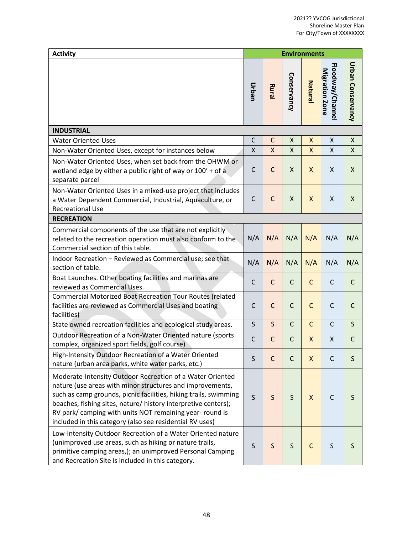| <b>Activity</b>                                                                                                                                                                                                                                                                                                                                                                      |              |              | <b>Environments</b> |              |                                   |                   |
|--------------------------------------------------------------------------------------------------------------------------------------------------------------------------------------------------------------------------------------------------------------------------------------------------------------------------------------------------------------------------------------|--------------|--------------|---------------------|--------------|-----------------------------------|-------------------|
|                                                                                                                                                                                                                                                                                                                                                                                      | Urban        | Rural        | Conservancy         | Natura       | Floodway/Channe<br>Migration Zone | Urban Conservancy |
| <b>INDUSTRIAL</b>                                                                                                                                                                                                                                                                                                                                                                    |              |              |                     |              |                                   |                   |
| <b>Water Oriented Uses</b>                                                                                                                                                                                                                                                                                                                                                           | $\mathsf C$  | $\mathsf{C}$ | Χ                   | X            | Χ                                 | Χ                 |
| Non-Water Oriented Uses, except for instances below                                                                                                                                                                                                                                                                                                                                  | X            | $\mathsf{X}$ | X                   | X            | X                                 | X                 |
| Non-Water Oriented Uses, when set back from the OHWM or<br>wetland edge by either a public right of way or 100' + of a<br>separate parcel                                                                                                                                                                                                                                            | $\mathsf{C}$ | $\mathsf{C}$ | X                   | X            | Χ                                 | $\mathsf{X}$      |
| Non-Water Oriented Uses in a mixed-use project that includes<br>a Water Dependent Commercial, Industrial, Aquaculture, or<br><b>Recreational Use</b>                                                                                                                                                                                                                                 | $\mathsf{C}$ | $\mathsf{C}$ | X                   | X            | X                                 | X                 |
| <b>RECREATION</b>                                                                                                                                                                                                                                                                                                                                                                    |              |              |                     |              |                                   |                   |
| Commercial components of the use that are not explicitly<br>related to the recreation operation must also conform to the<br>Commercial section of this table.                                                                                                                                                                                                                        | N/A          | N/A          | N/A                 | N/A          | N/A                               | N/A               |
| Indoor Recreation - Reviewed as Commercial use; see that<br>section of table.                                                                                                                                                                                                                                                                                                        | N/A          | N/A          | N/A                 | N/A          | N/A                               | N/A               |
| Boat Launches. Other boating facilities and marinas are<br>reviewed as Commercial Uses.                                                                                                                                                                                                                                                                                              | $\mathsf{C}$ | $\mathsf{C}$ | $\mathsf{C}$        | $\mathsf{C}$ | $\mathsf{C}$                      | $\mathsf{C}$      |
| <b>Commercial Motorized Boat Recreation Tour Routes (related</b><br>facilities are reviewed as Commercial Uses and boating<br>facilities)                                                                                                                                                                                                                                            | C            | $\mathsf{C}$ | $\mathsf{C}$        | $\mathsf{C}$ | $\mathsf{C}$                      | $\mathsf{C}$      |
| State owned recreation facilities and ecological study areas.                                                                                                                                                                                                                                                                                                                        | $\mathsf S$  | S            | $\mathsf{C}$        | $\mathsf{C}$ | $\mathsf{C}$                      | S                 |
| Outdoor Recreation of a Non-Water Oriented nature (sports<br>complex, organized sport fields, golf course)                                                                                                                                                                                                                                                                           | C            | $\mathsf{C}$ | $\mathsf{C}$        | X            | Χ                                 | $\mathsf{C}$      |
| High-Intensity Outdoor Recreation of a Water Oriented<br>nature (urban area parks, white water parks, etc.)                                                                                                                                                                                                                                                                          | S            | $\mathsf{C}$ | $\mathsf{C}$        | X            | $\mathsf{C}$                      | S                 |
| Moderate-Intensity Outdoor Recreation of a Water Oriented<br>nature (use areas with minor structures and improvements,<br>such as camp grounds, picnic facilities, hiking trails, swimming<br>beaches, fishing sites, nature/ history interpretive centers);<br>RV park/ camping with units NOT remaining year- round is<br>included in this category (also see residential RV uses) | S            | S            | $\mathsf S$         | X            | $\mathsf{C}$                      | S                 |
| Low-Intensity Outdoor Recreation of a Water Oriented nature<br>(unimproved use areas, such as hiking or nature trails,<br>primitive camping areas,); an unimproved Personal Camping<br>and Recreation Site is included in this category.                                                                                                                                             | S            | $\mathsf S$  | $\sf S$             | $\mathsf{C}$ | $\sf S$                           | S                 |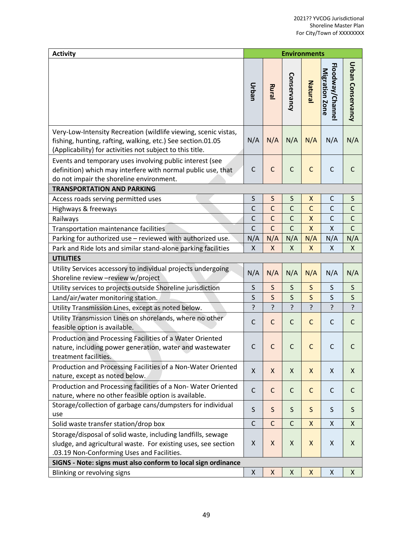| <b>Activity</b>                                                                                                                                                                             | <b>Environments</b> |              |              |              |                                   |                    |  |
|---------------------------------------------------------------------------------------------------------------------------------------------------------------------------------------------|---------------------|--------------|--------------|--------------|-----------------------------------|--------------------|--|
|                                                                                                                                                                                             | Urban               | Rural        | Conservancy  | Natural      | Floodway/Channe<br>Migration Zone | Urban Conservancy  |  |
| Very-Low-Intensity Recreation (wildlife viewing, scenic vistas,<br>fishing, hunting, rafting, walking, etc.) See section.01.05<br>(Applicability) for activities not subject to this title. | N/A                 | N/A          | N/A          | N/A          | N/A                               | N/A                |  |
| Events and temporary uses involving public interest (see<br>definition) which may interfere with normal public use, that<br>do not impair the shoreline environment.                        | $\mathsf{C}$        | $\mathsf{C}$ | $\mathsf C$  | $\mathsf{C}$ | $\mathsf{C}$                      | $\mathsf{C}$       |  |
| <b>TRANSPORTATION AND PARKING</b>                                                                                                                                                           |                     |              |              |              |                                   |                    |  |
| Access roads serving permitted uses                                                                                                                                                         | $\sf S$             | $\sf S$      | $\sf S$      | Χ            | C                                 | S                  |  |
| Highways & freeways                                                                                                                                                                         | $\mathsf{C}$        | $\mathsf{C}$ | $\mathsf{C}$ | $\mathsf{C}$ | $\mathsf{C}$                      | $\mathsf{C}$       |  |
| Railways                                                                                                                                                                                    | $\mathsf C$         | $\mathsf{C}$ | $\mathsf C$  | X            | $\mathsf{C}$                      | $\mathsf C$        |  |
| Transportation maintenance facilities                                                                                                                                                       | $\mathsf{C}$        | $\mathsf{C}$ | $\mathsf{C}$ | X            | X                                 | $\mathsf{C}$       |  |
| Parking for authorized use - reviewed with authorized use.                                                                                                                                  | N/A                 | N/A          | N/A          | N/A          | N/A                               | N/A                |  |
| Park and Ride lots and similar stand-alone parking facilities                                                                                                                               | X                   | X            | Χ            | X            | Χ                                 | $\pmb{\mathsf{X}}$ |  |
| <b>UTILITIES</b>                                                                                                                                                                            |                     |              |              |              |                                   |                    |  |
| Utility Services accessory to individual projects undergoing<br>Shoreline review - review w/project                                                                                         | N/A                 | N/A          | N/A          | N/A          | N/A                               | N/A                |  |
| Utility services to projects outside Shoreline jurisdiction                                                                                                                                 | $\sf S$             | $\mathsf S$  | S            | $\mathsf S$  | S                                 | S                  |  |
| Land/air/water monitoring station.                                                                                                                                                          | S                   | $\mathsf{S}$ | $\mathsf S$  | $\mathsf S$  | $\mathsf S$                       | $\sf S$            |  |
| Utility Transmission Lines, except as noted below.                                                                                                                                          | ?                   | ?            | ?            | ?            | ?                                 | ?                  |  |
| Utility Transmission Lines on shorelands, where no other<br>feasible option is available.                                                                                                   | $\mathsf C$         | $\mathsf{C}$ | $\mathsf C$  | $\mathsf{C}$ | $\mathsf{C}$                      | $\mathsf{C}$       |  |
| Production and Processing Facilities of a Water Oriented<br>nature, including power generation, water and wastewater<br>treatment facilities.                                               | $\mathsf C$         | $\mathsf{C}$ | $\mathsf{C}$ | $\mathsf{C}$ | $\mathsf{C}$                      | $\mathsf{C}$       |  |
| Production and Processing Facilities of a Non-Water Oriented<br>nature, except as noted below.                                                                                              | X                   | X            | X            | X            | X                                 | X                  |  |
| Production and Processing facilities of a Non-Water Oriented<br>nature, where no other feasible option is available.                                                                        | $\mathsf{C}$        | $\mathsf C$  | $\mathsf C$  | $\mathsf{C}$ | $\mathsf C$                       | C                  |  |
| Storage/collection of garbage cans/dumpsters for individual                                                                                                                                 | S                   | $\mathsf S$  | S            | $\mathsf{S}$ | $\mathsf S$                       |                    |  |
| use                                                                                                                                                                                         |                     |              |              |              |                                   | S                  |  |
| Solid waste transfer station/drop box                                                                                                                                                       | $\mathsf C$         | $\mathsf{C}$ | $\mathsf{C}$ | X            | X                                 | X                  |  |
| Storage/disposal of solid waste, including landfills, sewage<br>sludge, and agricultural waste. For existing uses, see section<br>.03.19 Non-Conforming Uses and Facilities.                | Χ                   | X            | Χ            | X            | Χ                                 | X                  |  |
| SIGNS - Note: signs must also conform to local sign ordinance                                                                                                                               |                     |              |              |              |                                   |                    |  |
| Blinking or revolving signs                                                                                                                                                                 | Χ                   | X            | Χ            | Χ            | Χ                                 | X                  |  |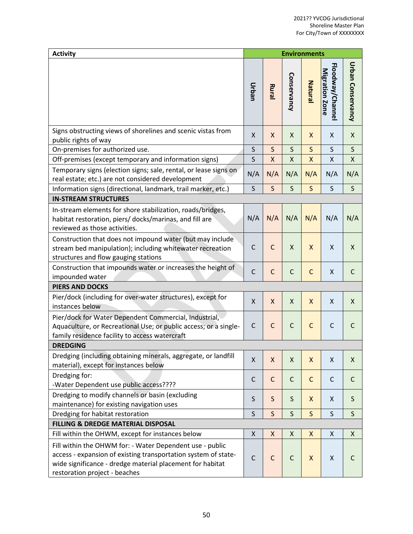| <b>Activity</b>                                                                                                                                                                                                          |              |              | <b>Environments</b> |              |                                   |                    |
|--------------------------------------------------------------------------------------------------------------------------------------------------------------------------------------------------------------------------|--------------|--------------|---------------------|--------------|-----------------------------------|--------------------|
|                                                                                                                                                                                                                          | Urban        | Rural        | Conservancy         | Natura       | Floodway/Channe<br>Migration Zone | Urban Conservancy  |
| Signs obstructing views of shorelines and scenic vistas from<br>public rights of way                                                                                                                                     | X            | X            | X                   | X            | X                                 | X                  |
| On-premises for authorized use.                                                                                                                                                                                          | $\sf S$      | $\mathsf S$  | $\sf S$             | $\mathsf S$  | $\sf S$                           | $\sf S$            |
| Off-premises (except temporary and information signs)                                                                                                                                                                    | $\sf S$      | X            | Χ                   | X            | Χ                                 | $\pmb{\mathsf{X}}$ |
| Temporary signs (election signs; sale, rental, or lease signs on<br>real estate; etc.) are not considered development                                                                                                    | N/A          | N/A          | N/A                 | N/A          | N/A                               | N/A                |
| Information signs (directional, landmark, trail marker, etc.)                                                                                                                                                            | S            | $\mathsf{S}$ | $\mathsf{S}$        | $\mathsf{S}$ | S                                 | $\mathsf{S}$       |
| <b>IN-STREAM STRUCTURES</b>                                                                                                                                                                                              |              |              |                     |              |                                   |                    |
| In-stream elements for shore stabilization, roads/bridges,<br>habitat restoration, piers/ docks/marinas, and fill are<br>reviewed as those activities.                                                                   | N/A          | N/A          | N/A                 | N/A          | N/A                               | N/A                |
| Construction that does not impound water (but may include<br>stream bed manipulation); including whitewater recreation<br>structures and flow gauging stations                                                           | C            | $\mathsf{C}$ | X                   | X            | X                                 | X                  |
| Construction that impounds water or increases the height of<br>impounded water                                                                                                                                           | $\mathsf C$  | $\mathsf{C}$ | $\mathsf C$         | $\mathsf{C}$ | X                                 | $\mathsf{C}$       |
| <b>PIERS AND DOCKS</b>                                                                                                                                                                                                   |              |              |                     |              |                                   |                    |
| Pier/dock (including for over-water structures), except for<br>instances below                                                                                                                                           | X            | $\mathsf{X}$ | X                   | $\mathsf{X}$ | Χ                                 | $\mathsf{X}$       |
| Pier/dock for Water Dependent Commercial, Industrial,<br>Aquaculture, or Recreational Use; or public access; or a single-<br>family residence facility to access watercraft                                              | C            | $\mathsf C$  | $\mathsf C$         | $\mathsf{C}$ | $\mathsf C$                       | C                  |
| <b>DREDGING</b>                                                                                                                                                                                                          |              |              |                     |              |                                   |                    |
| Dredging (including obtaining minerals, aggregate, or landfill<br>material), except for instances below                                                                                                                  | X            | X            | $\mathsf{X}$        | X            | Χ                                 | $\mathsf{X}$       |
| Dredging for:<br>-Water Dependent use public access????                                                                                                                                                                  | $\mathsf{C}$ | $\mathsf C$  | $\mathsf{C}$        | $\mathsf{C}$ | $\mathsf{C}$                      | $\mathsf{C}$       |
| Dredging to modify channels or basin (excluding<br>maintenance) for existing navigation uses                                                                                                                             | $\sf S$      | $\mathsf S$  | $\mathsf S$         | X            | X                                 | $\sf S$            |
| Dredging for habitat restoration                                                                                                                                                                                         | S            | $\mathsf{S}$ | $\mathsf{S}$        | $\mathsf{S}$ | $\sf S$                           | $\sf S$            |
| FILLING & DREDGE MATERIAL DISPOSAL                                                                                                                                                                                       |              |              |                     |              |                                   |                    |
| Fill within the OHWM, except for instances below                                                                                                                                                                         | X            | X            | X                   | X            | Χ                                 | X                  |
| Fill within the OHWM for: - Water Dependent use - public<br>access - expansion of existing transportation system of state-<br>wide significance - dredge material placement for habitat<br>restoration project - beaches | $\mathsf{C}$ | $\mathsf{C}$ | $\mathsf C$         | $\mathsf{X}$ | $\pmb{\mathsf{X}}$                | C                  |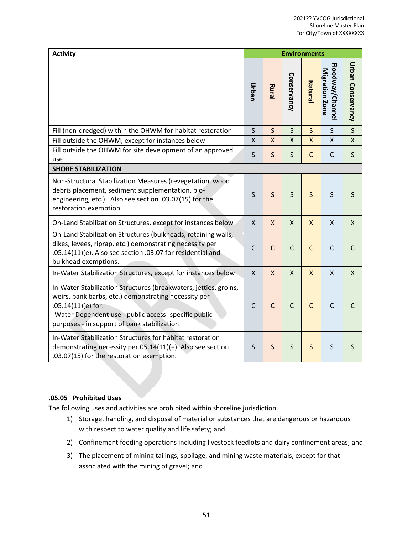| <b>Activity</b>                                                                                                                                                                                                                                          | <b>Environments</b> |              |              |              |                                    |                         |  |
|----------------------------------------------------------------------------------------------------------------------------------------------------------------------------------------------------------------------------------------------------------|---------------------|--------------|--------------|--------------|------------------------------------|-------------------------|--|
|                                                                                                                                                                                                                                                          | Urban               | Rura         | Conservancy  | Natural      | Floodway/Channel<br>Migration Zone | Urban Conservancy       |  |
| Fill (non-dredged) within the OHWM for habitat restoration                                                                                                                                                                                               | $\mathsf S$         | S            | $\mathsf{S}$ | $\mathsf{S}$ | S                                  | $\overline{\mathsf{S}}$ |  |
| Fill outside the OHWM, except for instances below                                                                                                                                                                                                        | $\pmb{\mathsf{X}}$  | $\mathsf{X}$ | X            | X            | X                                  | X                       |  |
| Fill outside the OHWM for site development of an approved<br>use                                                                                                                                                                                         | $\mathsf S$         | S            | $\mathsf{S}$ | $\mathsf{C}$ | $\mathsf{C}$                       | S                       |  |
| <b>SHORE STABILIZATION</b>                                                                                                                                                                                                                               |                     |              |              |              |                                    |                         |  |
| Non-Structural Stabilization Measures (revegetation, wood<br>debris placement, sediment supplementation, bio-<br>engineering, etc.). Also see section .03.07(15) for the<br>restoration exemption.                                                       | S                   | S            | S            | S            | $\mathsf S$                        | S                       |  |
| On-Land Stabilization Structures, except for instances below                                                                                                                                                                                             | $\mathsf{X}$        | $\mathsf{x}$ | $\mathsf{x}$ | $\mathsf{X}$ | $\mathsf{X}$                       | X                       |  |
| On-Land Stabilization Structures (bulkheads, retaining walls,<br>dikes, levees, riprap, etc.) demonstrating necessity per<br>.05.14(11)(e). Also see section .03.07 for residential and<br>bulkhead exemptions.                                          | $\mathsf{C}$        | $\mathsf{C}$ | $\mathsf C$  | $\mathsf C$  | $\mathsf C$                        | $\mathsf{C}$            |  |
| In-Water Stabilization Structures, except for instances below                                                                                                                                                                                            | $\mathsf{X}$        | $\mathsf{x}$ | $\mathsf{X}$ | $\mathsf{X}$ | $\mathsf{x}$                       | $\mathsf{x}$            |  |
| In-Water Stabilization Structures (breakwaters, jetties, groins,<br>weirs, bank barbs, etc.) demonstrating necessity per<br>$.05.14(11)(e)$ for:<br>-Water Dependent use - public access -specific public<br>purposes - in support of bank stabilization | C                   | $\mathsf{C}$ | $\mathsf{C}$ | $\mathsf{C}$ | $\mathsf{C}$                       | C                       |  |
| In-Water Stabilization Structures for habitat restoration<br>demonstrating necessity per.05.14(11)(e). Also see section<br>.03.07(15) for the restoration exemption.                                                                                     | S                   | $\mathsf{S}$ | $\mathsf{S}$ | $\mathsf S$  | $\sf S$                            | S                       |  |

## **.05.05 Prohibited Uses**

The following uses and activities are prohibited within shoreline jurisdiction

- 1) Storage, handling, and disposal of material or substances that are dangerous or hazardous with respect to water quality and life safety; and
- 2) Confinement feeding operations including livestock feedlots and dairy confinement areas; and
- 3) The placement of mining tailings, spoilage, and mining waste materials, except for that associated with the mining of gravel; and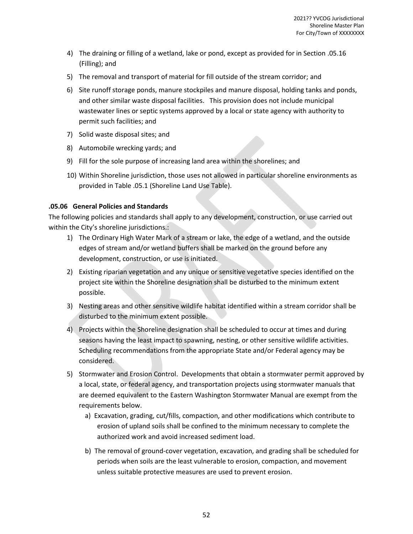- 4) The draining or filling of a wetland, lake or pond, except as provided for in Section .05.16 (Filling); and
- 5) The removal and transport of material for fill outside of the stream corridor; and
- 6) Site runoff storage ponds, manure stockpiles and manure disposal, holding tanks and ponds, and other similar waste disposal facilities. This provision does not include municipal wastewater lines or septic systems approved by a local or state agency with authority to permit such facilities; and
- 7) Solid waste disposal sites; and
- 8) Automobile wrecking yards; and
- 9) Fill for the sole purpose of increasing land area within the shorelines; and
- 10) Within Shoreline jurisdiction, those uses not allowed in particular shoreline environments as provided in Table .05.1 (Shoreline Land Use Table).

## **.05.06 General Policies and Standards**

The following policies and standards shall apply to any development, construction, or use carried out within the City's shoreline jurisdictions.:

- 1) The Ordinary High Water Mark of a stream or lake, the edge of a wetland, and the outside edges of stream and/or wetland buffers shall be marked on the ground before any development, construction, or use is initiated.
- 2) Existing riparian vegetation and any unique or sensitive vegetative species identified on the project site within the Shoreline designation shall be disturbed to the minimum extent possible.
- 3) Nesting areas and other sensitive wildlife habitat identified within a stream corridor shall be disturbed to the minimum extent possible.
- 4) Projects within the Shoreline designation shall be scheduled to occur at times and during seasons having the least impact to spawning, nesting, or other sensitive wildlife activities. Scheduling recommendations from the appropriate State and/or Federal agency may be considered.
- 5) Stormwater and Erosion Control. Developments that obtain a stormwater permit approved by a local, state, or federal agency, and transportation projects using stormwater manuals that are deemed equivalent to the Eastern Washington Stormwater Manual are exempt from the requirements below.
	- a) Excavation, grading, cut/fills, compaction, and other modifications which contribute to erosion of upland soils shall be confined to the minimum necessary to complete the authorized work and avoid increased sediment load.
	- b) The removal of ground-cover vegetation, excavation, and grading shall be scheduled for periods when soils are the least vulnerable to erosion, compaction, and movement unless suitable protective measures are used to prevent erosion.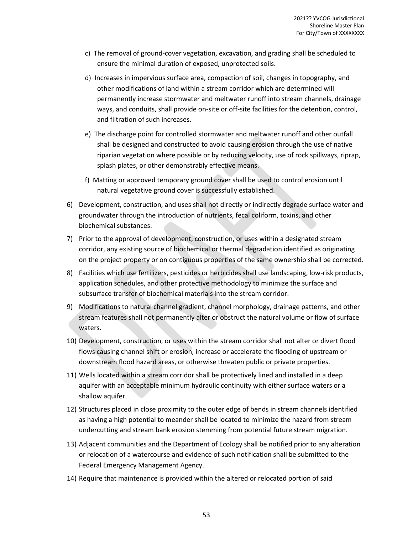- c) The removal of ground-cover vegetation, excavation, and grading shall be scheduled to ensure the minimal duration of exposed, unprotected soils.
- d) Increases in impervious surface area, compaction of soil, changes in topography, and other modifications of land within a stream corridor which are determined will permanently increase stormwater and meltwater runoff into stream channels, drainage ways, and conduits, shall provide on-site or off-site facilities for the detention, control, and filtration of such increases.
- e) The discharge point for controlled stormwater and meltwater runoff and other outfall shall be designed and constructed to avoid causing erosion through the use of native riparian vegetation where possible or by reducing velocity, use of rock spillways, riprap, splash plates, or other demonstrably effective means.
- f) Matting or approved temporary ground cover shall be used to control erosion until natural vegetative ground cover is successfully established.
- 6) Development, construction, and uses shall not directly or indirectly degrade surface water and groundwater through the introduction of nutrients, fecal coliform, toxins, and other biochemical substances.
- 7) Prior to the approval of development, construction, or uses within a designated stream corridor, any existing source of biochemical or thermal degradation identified as originating on the project property or on contiguous properties of the same ownership shall be corrected.
- 8) Facilities which use fertilizers, pesticides or herbicides shall use landscaping, low-risk products, application schedules, and other protective methodology to minimize the surface and subsurface transfer of biochemical materials into the stream corridor.
- 9) Modifications to natural channel gradient, channel morphology, drainage patterns, and other stream features shall not permanently alter or obstruct the natural volume or flow of surface waters.
- 10) Development, construction, or uses within the stream corridor shall not alter or divert flood flows causing channel shift or erosion, increase or accelerate the flooding of upstream or downstream flood hazard areas, or otherwise threaten public or private properties.
- 11) Wells located within a stream corridor shall be protectively lined and installed in a deep aquifer with an acceptable minimum hydraulic continuity with either surface waters or a shallow aquifer.
- 12) Structures placed in close proximity to the outer edge of bends in stream channels identified as having a high potential to meander shall be located to minimize the hazard from stream undercutting and stream bank erosion stemming from potential future stream migration.
- 13) Adjacent communities and the Department of Ecology shall be notified prior to any alteration or relocation of a watercourse and evidence of such notification shall be submitted to the Federal Emergency Management Agency.
- 14) Require that maintenance is provided within the altered or relocated portion of said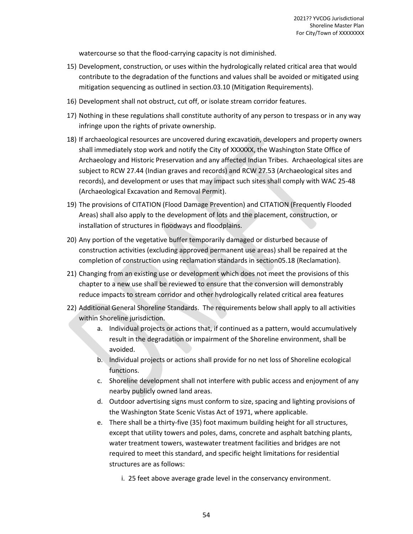watercourse so that the flood-carrying capacity is not diminished.

- 15) Development, construction, or uses within the hydrologically related critical area that would contribute to the degradation of the functions and values shall be avoided or mitigated using mitigation sequencing as outlined in section.03.10 (Mitigation Requirements).
- 16) Development shall not obstruct, cut off, or isolate stream corridor features.
- 17) Nothing in these regulations shall constitute authority of any person to trespass or in any way infringe upon the rights of private ownership.
- 18) If archaeological resources are uncovered during excavation, developers and property owners shall immediately stop work and notify the City of XXXXXX, the Washington State Office of Archaeology and Historic Preservation and any affected Indian Tribes. Archaeological sites are subject to RCW 27.44 (Indian graves and records) and RCW 27.53 (Archaeological sites and records), and development or uses that may impact such sites shall comply with WAC 25-48 (Archaeological Excavation and Removal Permit).
- 19) The provisions of CITATION (Flood Damage Prevention) and CITATION (Frequently Flooded Areas) shall also apply to the development of lots and the placement, construction, or installation of structures in floodways and floodplains.
- 20) Any portion of the vegetative buffer temporarily damaged or disturbed because of construction activities (excluding approved permanent use areas) shall be repaired at the completion of construction using reclamation standards in section05.18 (Reclamation).
- 21) Changing from an existing use or development which does not meet the provisions of this chapter to a new use shall be reviewed to ensure that the conversion will demonstrably reduce impacts to stream corridor and other hydrologically related critical area features
- 22) Additional General Shoreline Standards. The requirements below shall apply to all activities within Shoreline jurisdiction.
	- a. Individual projects or actions that, if continued as a pattern, would accumulatively result in the degradation or impairment of the Shoreline environment, shall be avoided.
	- b. Individual projects or actions shall provide for no net loss of Shoreline ecological functions.
	- c. Shoreline development shall not interfere with public access and enjoyment of any nearby publicly owned land areas.
	- d. Outdoor advertising signs must conform to size, spacing and lighting provisions of the Washington State Scenic Vistas Act of 1971, where applicable.
	- e. There shall be a thirty-five (35) foot maximum building height for all structures, except that utility towers and poles, dams, concrete and asphalt batching plants, water treatment towers, wastewater treatment facilities and bridges are not required to meet this standard, and specific height limitations for residential structures are as follows:
		- i. 25 feet above average grade level in the conservancy environment.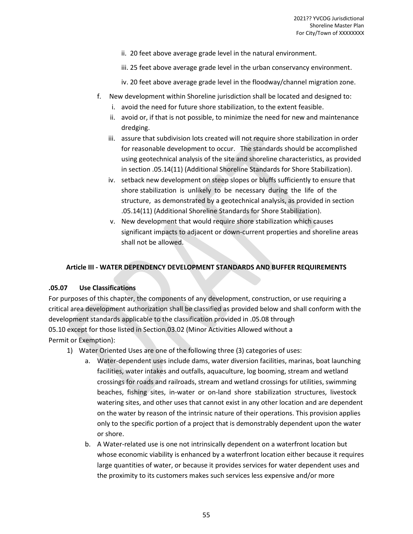- ii. 20 feet above average grade level in the natural environment.
- iii. 25 feet above average grade level in the urban conservancy environment.
- iv. 20 feet above average grade level in the floodway/channel migration zone.
- f. New development within Shoreline jurisdiction shall be located and designed to:
	- i. avoid the need for future shore stabilization, to the extent feasible.
	- ii. avoid or, if that is not possible, to minimize the need for new and maintenance dredging.
	- iii. assure that subdivision lots created will not require shore stabilization in order for reasonable development to occur. The standards should be accomplished using geotechnical analysis of the site and shoreline characteristics, as provided in section .05.14(11) (Additional Shoreline Standards for Shore Stabilization).
	- iv. setback new development on steep slopes or bluffs sufficiently to ensure that shore stabilization is unlikely to be necessary during the life of the structure, as demonstrated by a geotechnical analysis, as provided in section .05.14(11) (Additional Shoreline Standards for Shore Stabilization).
	- v. New development that would require shore stabilization which causes significant impacts to adjacent or down-current properties and shoreline areas shall not be allowed.

## **Article III - WATER DEPENDENCY DEVELOPMENT STANDARDS AND BUFFER REQUIREMENTS**

#### **.05.07 Use Classifications**

For purposes of this chapter, the components of any development, construction, or use requiring a critical area development authorization shall be classified as provided below and shall conform with the development standards applicable to the classification provided in .05.08 through 05.10 except for those listed in Section.03.02 (Minor Activities Allowed without a Permit or Exemption):

- 1) Water Oriented Uses are one of the following three (3) categories of uses:
	- a. Water-dependent uses include dams, water diversion facilities, marinas, boat launching facilities, water intakes and outfalls, aquaculture, log booming, stream and wetland crossings for roads and railroads, stream and wetland crossings for utilities, swimming beaches, fishing sites, in-water or on-land shore stabilization structures, livestock watering sites, and other uses that cannot exist in any other location and are dependent on the water by reason of the intrinsic nature of their operations. This provision applies only to the specific portion of a project that is demonstrably dependent upon the water or shore.
	- b. A Water-related use is one not intrinsically dependent on a waterfront location but whose economic viability is enhanced by a waterfront location either because it requires large quantities of water, or because it provides services for water dependent uses and the proximity to its customers makes such services less expensive and/or more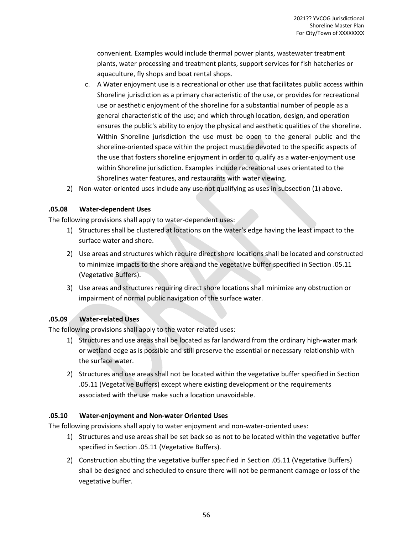convenient. Examples would include thermal power plants, wastewater treatment plants, water processing and treatment plants, support services for fish hatcheries or aquaculture, fly shops and boat rental shops.

- c. A Water enjoyment use is a recreational or other use that facilitates public access within Shoreline jurisdiction as a primary characteristic of the use, or provides for recreational use or aesthetic enjoyment of the shoreline for a substantial number of people as a general characteristic of the use; and which through location, design, and operation ensures the public's ability to enjoy the physical and aesthetic qualities of the shoreline. Within Shoreline jurisdiction the use must be open to the general public and the shoreline-oriented space within the project must be devoted to the specific aspects of the use that fosters shoreline enjoyment in order to qualify as a water-enjoyment use within Shoreline jurisdiction. Examples include recreational uses orientated to the Shorelines water features, and restaurants with water viewing.
- 2) Non-water-oriented uses include any use not qualifying as uses in subsection (1) above.

## **.05.08 Water-dependent Uses**

The following provisions shall apply to water-dependent uses:

- 1) Structures shall be clustered at locations on the water's edge having the least impact to the surface water and shore.
- 2) Use areas and structures which require direct shore locations shall be located and constructed to minimize impacts to the shore area and the vegetative buffer specified in Section .05.11 (Vegetative Buffers).
- 3) Use areas and structures requiring direct shore locations shall minimize any obstruction or impairment of normal public navigation of the surface water.

## **.05.09 Water-related Uses**

The following provisions shall apply to the water-related uses:

- 1) Structures and use areas shall be located as far landward from the ordinary high-water mark or wetland edge as is possible and still preserve the essential or necessary relationship with the surface water.
- 2) Structures and use areas shall not be located within the vegetative buffer specified in Section .05.11 (Vegetative Buffers) except where existing development or the requirements associated with the use make such a location unavoidable.

#### **.05.10 Water-enjoyment and Non-water Oriented Uses**

The following provisions shall apply to water enjoyment and non-water-oriented uses:

- 1) Structures and use areas shall be set back so as not to be located within the vegetative buffer specified in Section .05.11 (Vegetative Buffers).
- 2) Construction abutting the vegetative buffer specified in Section .05.11 (Vegetative Buffers) shall be designed and scheduled to ensure there will not be permanent damage or loss of the vegetative buffer.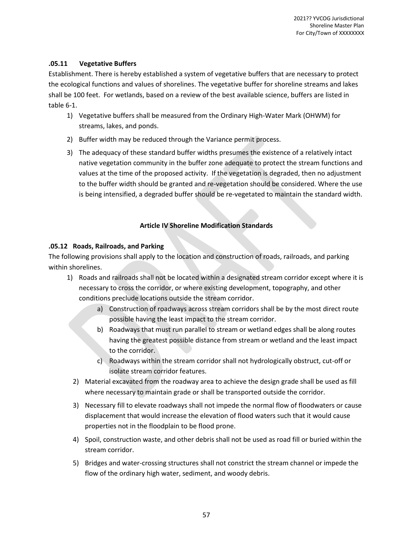## **.05.11 Vegetative Buffers**

Establishment. There is hereby established a system of vegetative buffers that are necessary to protect the ecological functions and values of shorelines. The vegetative buffer for shoreline streams and lakes shall be 100 feet. For wetlands, based on a review of the best available science, buffers are listed in table 6-1.

- 1) Vegetative buffers shall be measured from the Ordinary High-Water Mark (OHWM) for streams, lakes, and ponds.
- 2) Buffer width may be reduced through the Variance permit process.
- 3) The adequacy of these standard buffer widths presumes the existence of a relatively intact native vegetation community in the buffer zone adequate to protect the stream functions and values at the time of the proposed activity. If the vegetation is degraded, then no adjustment to the buffer width should be granted and re-vegetation should be considered. Where the use is being intensified, a degraded buffer should be re-vegetated to maintain the standard width.

## **Article IV Shoreline Modification Standards**

## **.05.12 Roads, Railroads, and Parking**

The following provisions shall apply to the location and construction of roads, railroads, and parking within shorelines.

- 1) Roads and railroads shall not be located within a designated stream corridor except where it is necessary to cross the corridor, or where existing development, topography, and other conditions preclude locations outside the stream corridor.
	- a) Construction of roadways across stream corridors shall be by the most direct route possible having the least impact to the stream corridor.
	- b) Roadways that must run parallel to stream or wetland edges shall be along routes having the greatest possible distance from stream or wetland and the least impact to the corridor.
	- c) Roadways within the stream corridor shall not hydrologically obstruct, cut-off or isolate stream corridor features.
	- 2) Material excavated from the roadway area to achieve the design grade shall be used as fill where necessary to maintain grade or shall be transported outside the corridor.
	- 3) Necessary fill to elevate roadways shall not impede the normal flow of floodwaters or cause displacement that would increase the elevation of flood waters such that it would cause properties not in the floodplain to be flood prone.
	- 4) Spoil, construction waste, and other debris shall not be used as road fill or buried within the stream corridor.
	- 5) Bridges and water-crossing structures shall not constrict the stream channel or impede the flow of the ordinary high water, sediment, and woody debris.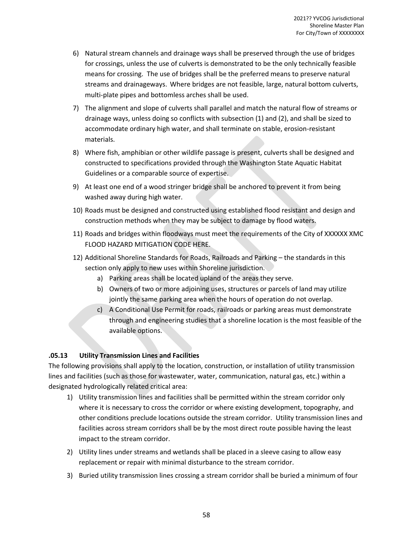- 6) Natural stream channels and drainage ways shall be preserved through the use of bridges for crossings, unless the use of culverts is demonstrated to be the only technically feasible means for crossing. The use of bridges shall be the preferred means to preserve natural streams and drainageways. Where bridges are not feasible, large, natural bottom culverts, multi-plate pipes and bottomless arches shall be used.
- 7) The alignment and slope of culverts shall parallel and match the natural flow of streams or drainage ways, unless doing so conflicts with subsection (1) and (2), and shall be sized to accommodate ordinary high water, and shall terminate on stable, erosion-resistant materials.
- 8) Where fish, amphibian or other wildlife passage is present, culverts shall be designed and constructed to specifications provided through the Washington State Aquatic Habitat Guidelines or a comparable source of expertise.
- 9) At least one end of a wood stringer bridge shall be anchored to prevent it from being washed away during high water.
- 10) Roads must be designed and constructed using established flood resistant and design and construction methods when they may be subject to damage by flood waters.
- 11) Roads and bridges within floodways must meet the requirements of the City of XXXXXX XMC FLOOD HAZARD MITIGATION CODE HERE.
- 12) Additional Shoreline Standards for Roads, Railroads and Parking the standards in this section only apply to new uses within Shoreline jurisdiction.
	- a) Parking areas shall be located upland of the areas they serve.
	- b) Owners of two or more adjoining uses, structures or parcels of land may utilize jointly the same parking area when the hours of operation do not overlap.
	- c) A Conditional Use Permit for roads, railroads or parking areas must demonstrate through and engineering studies that a shoreline location is the most feasible of the available options.

## **.05.13 Utility Transmission Lines and Facilities**

The following provisions shall apply to the location, construction, or installation of utility transmission lines and facilities (such as those for wastewater, water, communication, natural gas, etc.) within a designated hydrologically related critical area:

- 1) Utility transmission lines and facilities shall be permitted within the stream corridor only where it is necessary to cross the corridor or where existing development, topography, and other conditions preclude locations outside the stream corridor. Utility transmission lines and facilities across stream corridors shall be by the most direct route possible having the least impact to the stream corridor.
- 2) Utility lines under streams and wetlands shall be placed in a sleeve casing to allow easy replacement or repair with minimal disturbance to the stream corridor.
- 3) Buried utility transmission lines crossing a stream corridor shall be buried a minimum of four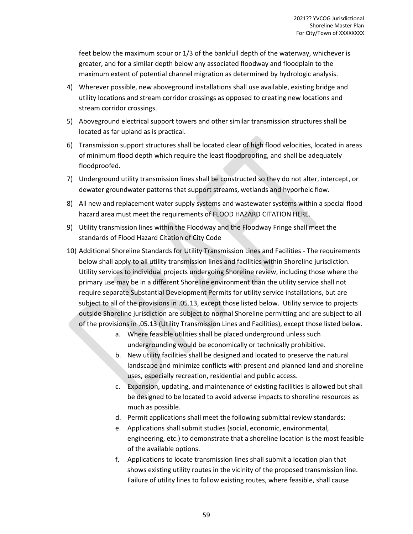feet below the maximum scour or 1/3 of the bankfull depth of the waterway, whichever is greater, and for a similar depth below any associated floodway and floodplain to the maximum extent of potential channel migration as determined by hydrologic analysis.

- 4) Wherever possible, new aboveground installations shall use available, existing bridge and utility locations and stream corridor crossings as opposed to creating new locations and stream corridor crossings.
- 5) Aboveground electrical support towers and other similar transmission structures shall be located as far upland as is practical.
- 6) Transmission support structures shall be located clear of high flood velocities, located in areas of minimum flood depth which require the least floodproofing, and shall be adequately floodproofed.
- 7) Underground utility transmission lines shall be constructed so they do not alter, intercept, or dewater groundwater patterns that support streams, wetlands and hyporheic flow.
- 8) All new and replacement water supply systems and wastewater systems within a special flood hazard area must meet the requirements of FLOOD HAZARD CITATION HERE.
- 9) Utility transmission lines within the Floodway and the Floodway Fringe shall meet the standards of Flood Hazard Citation of City Code
- 10) Additional Shoreline Standards for Utility Transmission Lines and Facilities The requirements below shall apply to all utility transmission lines and facilities within Shoreline jurisdiction. Utility services to individual projects undergoing Shoreline review, including those where the primary use may be in a different Shoreline environment than the utility service shall not require separate Substantial Development Permits for utility service installations, but are subject to all of the provisions in .05.13, except those listed below. Utility service to projects outside Shoreline jurisdiction are subject to normal Shoreline permitting and are subject to all of the provisions in .05.13 (Utility Transmission Lines and Facilities), except those listed below.
	- a. Where feasible utilities shall be placed underground unless such undergrounding would be economically or technically prohibitive.
	- b. New utility facilities shall be designed and located to preserve the natural landscape and minimize conflicts with present and planned land and shoreline uses, especially recreation, residential and public access.
	- c. Expansion, updating, and maintenance of existing facilities is allowed but shall be designed to be located to avoid adverse impacts to shoreline resources as much as possible.
	- d. Permit applications shall meet the following submittal review standards:
	- e. Applications shall submit studies (social, economic, environmental, engineering, etc.) to demonstrate that a shoreline location is the most feasible of the available options.
	- f. Applications to locate transmission lines shall submit a location plan that shows existing utility routes in the vicinity of the proposed transmission line. Failure of utility lines to follow existing routes, where feasible, shall cause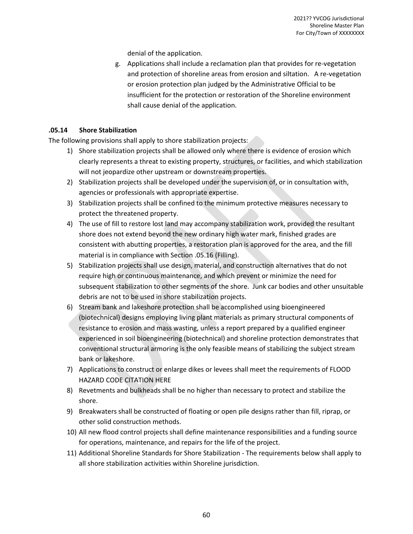denial of the application.

g. Applications shall include a reclamation plan that provides for re-vegetation and protection of shoreline areas from erosion and siltation. A re-vegetation or erosion protection plan judged by the Administrative Official to be insufficient for the protection or restoration of the Shoreline environment shall cause denial of the application.

## **.05.14 Shore Stabilization**

The following provisions shall apply to shore stabilization projects:

- 1) Shore stabilization projects shall be allowed only where there is evidence of erosion which clearly represents a threat to existing property, structures, or facilities, and which stabilization will not jeopardize other upstream or downstream properties.
- 2) Stabilization projects shall be developed under the supervision of, or in consultation with, agencies or professionals with appropriate expertise.
- 3) Stabilization projects shall be confined to the minimum protective measures necessary to protect the threatened property.
- 4) The use of fill to restore lost land may accompany stabilization work, provided the resultant shore does not extend beyond the new ordinary high water mark, finished grades are consistent with abutting properties, a restoration plan is approved for the area, and the fill material is in compliance with Section .05.16 (Filling).
- 5) Stabilization projects shall use design, material, and construction alternatives that do not require high or continuous maintenance, and which prevent or minimize the need for subsequent stabilization to other segments of the shore. Junk car bodies and other unsuitable debris are not to be used in shore stabilization projects.
- 6) Stream bank and lakeshore protection shall be accomplished using bioengineered (biotechnical) designs employing living plant materials as primary structural components of resistance to erosion and mass wasting, unless a report prepared by a qualified engineer experienced in soil bioengineering (biotechnical) and shoreline protection demonstrates that conventional structural armoring is the only feasible means of stabilizing the subject stream bank or lakeshore.
- 7) Applications to construct or enlarge dikes or levees shall meet the requirements of FLOOD HAZARD CODE CITATION HERE
- 8) Revetments and bulkheads shall be no higher than necessary to protect and stabilize the shore.
- 9) Breakwaters shall be constructed of floating or open pile designs rather than fill, riprap, or other solid construction methods.
- 10) All new flood control projects shall define maintenance responsibilities and a funding source for operations, maintenance, and repairs for the life of the project.
- 11) Additional Shoreline Standards for Shore Stabilization The requirements below shall apply to all shore stabilization activities within Shoreline jurisdiction.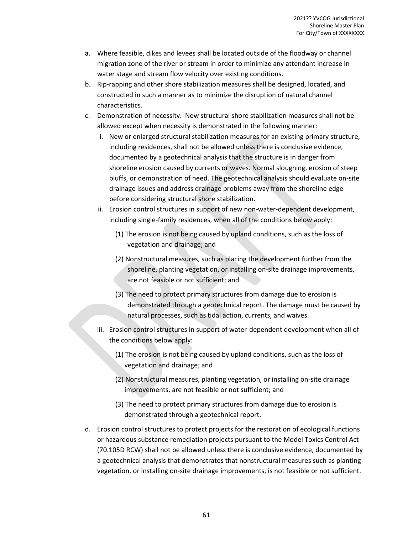- a. Where feasible, dikes and levees shall be located outside of the floodway or channel migration zone of the river or stream in order to minimize any attendant increase in water stage and stream flow velocity over existing conditions.
- b. Rip-rapping and other shore stabilization measures shall be designed, located, and constructed in such a manner as to minimize the disruption of natural channel characteristics.
- c. Demonstration of necessity. New structural shore stabilization measures shall not be allowed except when necessity is demonstrated in the following manner:
	- i. New or enlarged structural stabilization measures for an existing primary structure, including residences, shall not be allowed unless there is conclusive evidence, documented by a geotechnical analysis that the structure is in danger from shoreline erosion caused by currents or waves. Normal sloughing, erosion of steep bluffs, or demonstration of need. The geotechnical analysis should evaluate on-site drainage issues and address drainage problems away from the shoreline edge before considering structural shore stabilization.
	- ii. Erosion control structures in support of new non-water-dependent development, including single-family residences, when all of the conditions below apply:
		- (1) The erosion is not being caused by upland conditions, such as the loss of vegetation and drainage; and
		- (2) Nonstructural measures, such as placing the development further from the shoreline, planting vegetation, or installing on-site drainage improvements, are not feasible or not sufficient; and
		- (3) The need to protect primary structures from damage due to erosion is demonstrated through a geotechnical report. The damage must be caused by natural processes, such as tidal action, currents, and waives.
	- iii. Erosion control structures in support of water-dependent development when all of the conditions below apply:
		- (1) The erosion is not being caused by upland conditions, such as the loss of vegetation and drainage; and
		- (2) Nonstructural measures, planting vegetation, or installing on-site drainage improvements, are not feasible or not sufficient; and
		- (3) The need to protect primary structures from damage due to erosion is demonstrated through a geotechnical report.
- d. Erosion control structures to protect projects for the restoration of ecological functions or hazardous substance remediation projects pursuant to the Model Toxics Control Act (70.105D RCW) shall not be allowed unless there is conclusive evidence, documented by a geotechnical analysis that demonstrates that nonstructural measures such as planting vegetation, or installing on-site drainage improvements, is not feasible or not sufficient.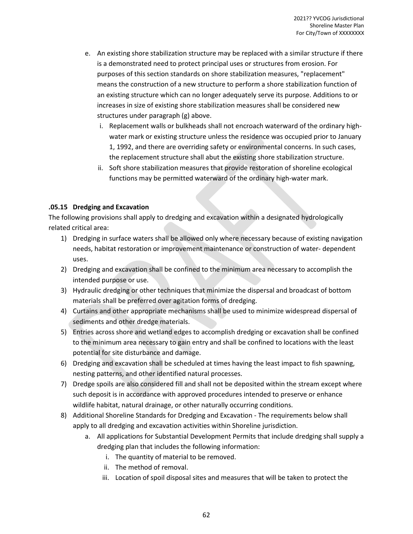- e. An existing shore stabilization structure may be replaced with a similar structure if there is a demonstrated need to protect principal uses or structures from erosion. For purposes of this section standards on shore stabilization measures, "replacement" means the construction of a new structure to perform a shore stabilization function of an existing structure which can no longer adequately serve its purpose. Additions to or increases in size of existing shore stabilization measures shall be considered new structures under paragraph (g) above.
	- i. Replacement walls or bulkheads shall not encroach waterward of the ordinary highwater mark or existing structure unless the residence was occupied prior to January 1, 1992, and there are overriding safety or environmental concerns. In such cases, the replacement structure shall abut the existing shore stabilization structure.
	- ii. Soft shore stabilization measures that provide restoration of shoreline ecological functions may be permitted waterward of the ordinary high-water mark.

## **.05.15 Dredging and Excavation**

The following provisions shall apply to dredging and excavation within a designated hydrologically related critical area:

- 1) Dredging in surface waters shall be allowed only where necessary because of existing navigation needs, habitat restoration or improvement maintenance or construction of water- dependent uses.
- 2) Dredging and excavation shall be confined to the minimum area necessary to accomplish the intended purpose or use.
- 3) Hydraulic dredging or other techniques that minimize the dispersal and broadcast of bottom materials shall be preferred over agitation forms of dredging.
- 4) Curtains and other appropriate mechanisms shall be used to minimize widespread dispersal of sediments and other dredge materials.
- 5) Entries across shore and wetland edges to accomplish dredging or excavation shall be confined to the minimum area necessary to gain entry and shall be confined to locations with the least potential for site disturbance and damage.
- 6) Dredging and excavation shall be scheduled at times having the least impact to fish spawning, nesting patterns, and other identified natural processes.
- 7) Dredge spoils are also considered fill and shall not be deposited within the stream except where such deposit is in accordance with approved procedures intended to preserve or enhance wildlife habitat, natural drainage, or other naturally occurring conditions.
- 8) Additional Shoreline Standards for Dredging and Excavation The requirements below shall apply to all dredging and excavation activities within Shoreline jurisdiction.
	- a. All applications for Substantial Development Permits that include dredging shall supply a dredging plan that includes the following information:
		- i. The quantity of material to be removed.
		- ii. The method of removal.
		- iii. Location of spoil disposal sites and measures that will be taken to protect the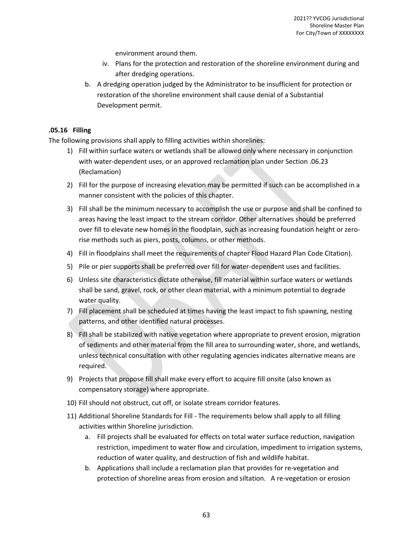environment around them.

- iv. Plans for the protection and restoration of the shoreline environment during and after dredging operations.
- b. A dredging operation judged by the Administrator to be insufficient for protection or restoration of the shoreline environment shall cause denial of a Substantial Development permit.

## **.05.16 Filling**

The following provisions shall apply to filling activities within shorelines:

- 1) Fill within surface waters or wetlands shall be allowed only where necessary in conjunction with water-dependent uses, or an approved reclamation plan under Section .06.23 (Reclamation)
- 2) Fill for the purpose of increasing elevation may be permitted if such can be accomplished in a manner consistent with the policies of this chapter.
- 3) Fill shall be the minimum necessary to accomplish the use or purpose and shall be confined to areas having the least impact to the stream corridor. Other alternatives should be preferred over fill to elevate new homes in the floodplain, such as increasing foundation height or zerorise methods such as piers, posts, columns, or other methods.
- 4) Fill in floodplains shall meet the requirements of chapter Flood Hazard Plan Code Citation).
- 5) Pile or pier supports shall be preferred over fill for water-dependent uses and facilities.
- 6) Unless site characteristics dictate otherwise, fill material within surface waters or wetlands shall be sand, gravel, rock, or other clean material, with a minimum potential to degrade water quality.
- 7) Fill placement shall be scheduled at times having the least impact to fish spawning, nesting patterns, and other identified natural processes.
- 8) Fill shall be stabilized with native vegetation where appropriate to prevent erosion, migration of sediments and other material from the fill area to surrounding water, shore, and wetlands, unless technical consultation with other regulating agencies indicates alternative means are required.
- 9) Projects that propose fill shall make every effort to acquire fill onsite (also known as compensatory storage) where appropriate.
- 10) Fill should not obstruct, cut off, or isolate stream corridor features.
- 11) Additional Shoreline Standards for Fill The requirements below shall apply to all filling activities within Shoreline jurisdiction.
	- a. Fill projects shall be evaluated for effects on total water surface reduction, navigation restriction, impediment to water flow and circulation, impediment to irrigation systems, reduction of water quality, and destruction of fish and wildlife habitat.
	- b. Applications shall include a reclamation plan that provides for re-vegetation and protection of shoreline areas from erosion and siltation. A re-vegetation or erosion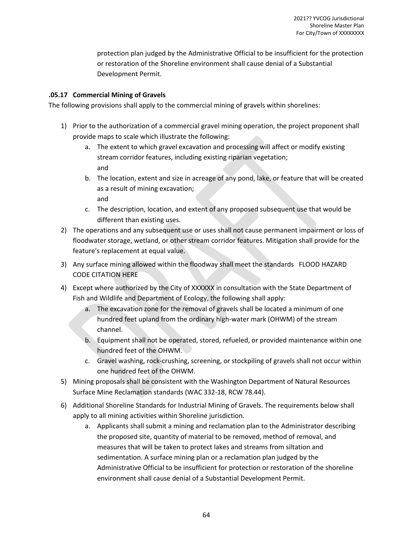protection plan judged by the Administrative Official to be insufficient for the protection or restoration of the Shoreline environment shall cause denial of a Substantial Development Permit.

## **.05.17 Commercial Mining of Gravels**

The following provisions shall apply to the commercial mining of gravels within shorelines:

- 1) Prior to the authorization of a commercial gravel mining operation, the project proponent shall provide maps to scale which illustrate the following:
	- a. The extent to which gravel excavation and processing will affect or modify existing stream corridor features, including existing riparian vegetation; and
	- b. The location, extent and size in acreage of any pond, lake, or feature that will be created as a result of mining excavation; and
	- c. The description, location, and extent of any proposed subsequent use that would be different than existing uses.
- 2) The operations and any subsequent use or uses shall not cause permanent impairment or loss of floodwater storage, wetland, or other stream corridor features. Mitigation shall provide for the feature's replacement at equal value.
- 3) Any surface mining allowed within the floodway shall meet the standards FLOOD HAZARD CODE CITATION HERE
- 4) Except where authorized by the City of XXXXXX in consultation with the State Department of Fish and Wildlife and Department of Ecology, the following shall apply:
	- a. The excavation zone for the removal of gravels shall be located a minimum of one hundred feet upland from the ordinary high-water mark (OHWM) of the stream channel.
	- b. Equipment shall not be operated, stored, refueled, or provided maintenance within one hundred feet of the OHWM.
	- c. Gravel washing, rock-crushing, screening, or stockpiling of gravels shall not occur within one hundred feet of the OHWM.
- 5) Mining proposals shall be consistent with the Washington Department of Natural Resources Surface Mine Reclamation standards (WAC 332-18, RCW 78.44).
- 6) Additional Shoreline Standards for Industrial Mining of Gravels. The requirements below shall apply to all mining activities within Shoreline jurisdiction.
	- a. Applicants shall submit a mining and reclamation plan to the Administrator describing the proposed site, quantity of material to be removed, method of removal, and measures that will be taken to protect lakes and streams from siltation and sedimentation. A surface mining plan or a reclamation plan judged by the Administrative Official to be insufficient for protection or restoration of the shoreline environment shall cause denial of a Substantial Development Permit.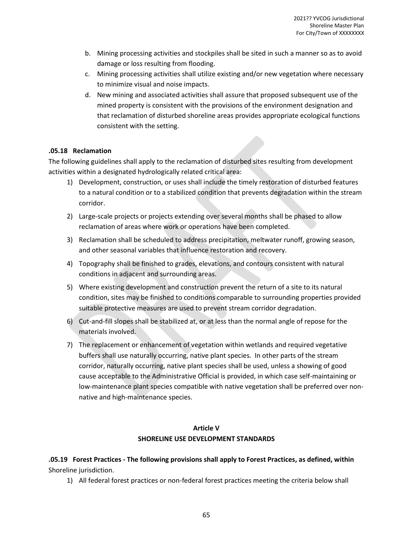- b. Mining processing activities and stockpiles shall be sited in such a manner so as to avoid damage or loss resulting from flooding.
- c. Mining processing activities shall utilize existing and/or new vegetation where necessary to minimize visual and noise impacts.
- d. New mining and associated activities shall assure that proposed subsequent use of the mined property is consistent with the provisions of the environment designation and that reclamation of disturbed shoreline areas provides appropriate ecological functions consistent with the setting.

## **.05.18 Reclamation**

The following guidelines shall apply to the reclamation of disturbed sites resulting from development activities within a designated hydrologically related critical area:

- 1) Development, construction, or uses shall include the timely restoration of disturbed features to a natural condition or to a stabilized condition that prevents degradation within the stream corridor.
- 2) Large-scale projects or projects extending over several months shall be phased to allow reclamation of areas where work or operations have been completed.
- 3) Reclamation shall be scheduled to address precipitation, meltwater runoff, growing season, and other seasonal variables that influence restoration and recovery.
- 4) Topography shall be finished to grades, elevations, and contours consistent with natural conditions in adjacent and surrounding areas.
- 5) Where existing development and construction prevent the return of a site to its natural condition, sites may be finished to conditions comparable to surrounding properties provided suitable protective measures are used to prevent stream corridor degradation.
- 6) Cut-and-fill slopes shall be stabilized at, or at less than the normal angle of repose for the materials involved.
- 7) The replacement or enhancement of vegetation within wetlands and required vegetative buffers shall use naturally occurring, native plant species. In other parts of the stream corridor, naturally occurring, native plant species shall be used, unless a showing of good cause acceptable to the Administrative Official is provided, in which case self-maintaining or low-maintenance plant species compatible with native vegetation shall be preferred over nonnative and high-maintenance species.

## **Article V SHORELINE USE DEVELOPMENT STANDARDS**

**.05.19 Forest Practices - The following provisions shall apply to Forest Practices, as defined, within** Shoreline jurisdiction.

1) All federal forest practices or non-federal forest practices meeting the criteria below shall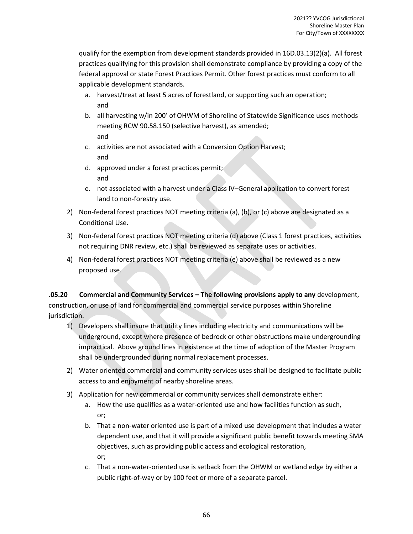qualify for the exemption from development standards provided in 16D.03.13(2)(a). All forest practices qualifying for this provision shall demonstrate compliance by providing a copy of the federal approval or state Forest Practices Permit. Other forest practices must conform to all applicable development standards.

- a. harvest/treat at least 5 acres of forestland, or supporting such an operation; and
- b. all harvesting w/in 200' of OHWM of Shoreline of Statewide Significance uses methods meeting RCW 90.58.150 (selective harvest), as amended; and
- c. activities are not associated with a Conversion Option Harvest; and
- d. approved under a forest practices permit; and
- e. not associated with a harvest under a Class IV–General application to convert forest land to non-forestry use.
- 2) Non-federal forest practices NOT meeting criteria (a), (b), or (c) above are designated as a Conditional Use.
- 3) Non-federal forest practices NOT meeting criteria (d) above (Class 1 forest practices, activities not requiring DNR review, etc.) shall be reviewed as separate uses or activities.
- 4) Non-federal forest practices NOT meeting criteria (e) above shall be reviewed as a new proposed use.

**.05.20 Commercial and Community Services – The following provisions apply to any** development, construction, or use of land for commercial and commercial service purposes within Shoreline jurisdiction.

- 1) Developers shall insure that utility lines including electricity and communications will be underground, except where presence of bedrock or other obstructions make undergrounding impractical. Above ground lines in existence at the time of adoption of the Master Program shall be undergrounded during normal replacement processes.
- 2) Water oriented commercial and community services uses shall be designed to facilitate public access to and enjoyment of nearby shoreline areas.
- 3) Application for new commercial or community services shall demonstrate either:
	- a. How the use qualifies as a water-oriented use and how facilities function as such, or;
	- b. That a non-water oriented use is part of a mixed use development that includes a water dependent use, and that it will provide a significant public benefit towards meeting SMA objectives, such as providing public access and ecological restoration, or;
	- c. That a non-water-oriented use is setback from the OHWM or wetland edge by either a public right-of-way or by 100 feet or more of a separate parcel.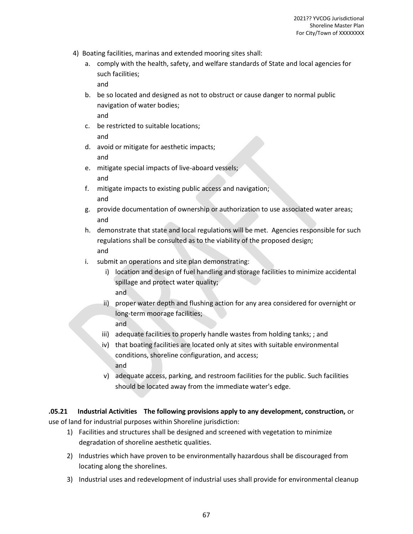- 4) Boating facilities, marinas and extended mooring sites shall:
	- a. comply with the health, safety, and welfare standards of State and local agencies for such facilities;

and

- b. be so located and designed as not to obstruct or cause danger to normal public navigation of water bodies; and
- c. be restricted to suitable locations; and
- d. avoid or mitigate for aesthetic impacts; and
- e. mitigate special impacts of live-aboard vessels; and
- f. mitigate impacts to existing public access and navigation; and
- g. provide documentation of ownership or authorization to use associated water areas; and
- h. demonstrate that state and local regulations will be met. Agencies responsible for such regulations shall be consulted as to the viability of the proposed design; and
- i. submit an operations and site plan demonstrating:
	- i) location and design of fuel handling and storage facilities to minimize accidental spillage and protect water quality; and
	- ii) proper water depth and flushing action for any area considered for overnight or long-term moorage facilities; and
	- iii) adequate facilities to properly handle wastes from holding tanks; ; and
	- iv) that boating facilities are located only at sites with suitable environmental conditions, shoreline configuration, and access; and
	- v) adequate access, parking, and restroom facilities for the public. Such facilities should be located away from the immediate water's edge.

## **.05.21 Industrial Activities The following provisions apply to any development, construction,** or

use of land for industrial purposes within Shoreline jurisdiction:

- 1) Facilities and structures shall be designed and screened with vegetation to minimize degradation of shoreline aesthetic qualities.
- 2) Industries which have proven to be environmentally hazardous shall be discouraged from locating along the shorelines.
- 3) Industrial uses and redevelopment of industrial uses shall provide for environmental cleanup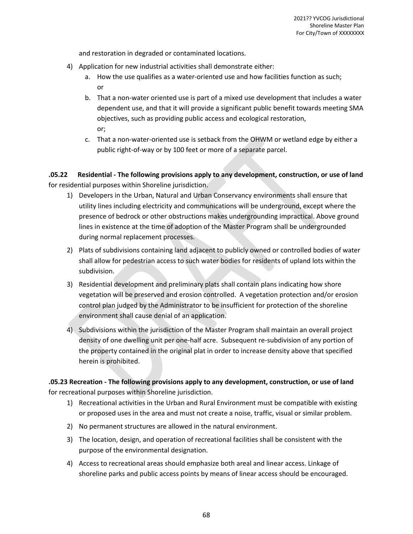and restoration in degraded or contaminated locations.

- 4) Application for new industrial activities shall demonstrate either:
	- a. How the use qualifies as a water-oriented use and how facilities function as such; or
	- b. That a non-water oriented use is part of a mixed use development that includes a water dependent use, and that it will provide a significant public benefit towards meeting SMA objectives, such as providing public access and ecological restoration, or;
	- c. That a non-water-oriented use is setback from the OHWM or wetland edge by either a public right-of-way or by 100 feet or more of a separate parcel.

**.05.22 Residential - The following provisions apply to any development, construction, or use of land** for residential purposes within Shoreline jurisdiction.

- 1) Developers in the Urban, Natural and Urban Conservancy environments shall ensure that utility lines including electricity and communications will be underground, except where the presence of bedrock or other obstructions makes undergrounding impractical. Above ground lines in existence at the time of adoption of the Master Program shall be undergrounded during normal replacement processes.
- 2) Plats of subdivisions containing land adjacent to publicly owned or controlled bodies of water shall allow for pedestrian access to such water bodies for residents of upland lots within the subdivision.
- 3) Residential development and preliminary plats shall contain plans indicating how shore vegetation will be preserved and erosion controlled. A vegetation protection and/or erosion control plan judged by the Administrator to be insufficient for protection of the shoreline environment shall cause denial of an application.
- 4) Subdivisions within the jurisdiction of the Master Program shall maintain an overall project density of one dwelling unit per one-half acre. Subsequent re-subdivision of any portion of the property contained in the original plat in order to increase density above that specified herein is prohibited.

**.05.23 Recreation - The following provisions apply to any development, construction, or use of land** for recreational purposes within Shoreline jurisdiction.

- 1) Recreational activities in the Urban and Rural Environment must be compatible with existing or proposed uses in the area and must not create a noise, traffic, visual or similar problem.
- 2) No permanent structures are allowed in the natural environment.
- 3) The location, design, and operation of recreational facilities shall be consistent with the purpose of the environmental designation.
- 4) Access to recreational areas should emphasize both areal and linear access. Linkage of shoreline parks and public access points by means of linear access should be encouraged.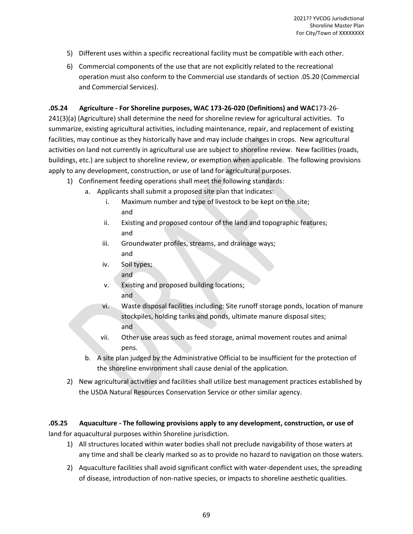- 5) Different uses within a specific recreational facility must be compatible with each other.
- 6) Commercial components of the use that are not explicitly related to the recreational operation must also conform to the Commercial use standards of section .05.20 (Commercial and Commercial Services).

## **.05.24 Agriculture - For Shoreline purposes, WAC 173-26-020 (Definitions) and WAC**173-26-

241(3)(a) (Agriculture) shall determine the need for shoreline review for agricultural activities. To summarize, existing agricultural activities, including maintenance, repair, and replacement of existing facilities, may continue as they historically have and may include changes in crops. New agricultural activities on land not currently in agricultural use are subject to shoreline review. New facilities (roads, buildings, etc.) are subject to shoreline review, or exemption when applicable. The following provisions apply to any development, construction, or use of land for agricultural purposes.

- 1) Confinement feeding operations shall meet the following standards:
	- a. Applicants shall submit a proposed site plan that indicates:
		- i. Maximum number and type of livestock to be kept on the site; and
		- ii. Existing and proposed contour of the land and topographic features; and
		- iii. Groundwater profiles, streams, and drainage ways; and
		- iv. Soil types;
			- and
		- v. Existing and proposed building locations; and
		- vi. Waste disposal facilities including: Site runoff storage ponds, location of manure stockpiles, holding tanks and ponds, ultimate manure disposal sites; and
		- vii. Other use areas such as feed storage, animal movement routes and animal pens.
	- b. A site plan judged by the Administrative Official to be insufficient for the protection of the shoreline environment shall cause denial of the application.
- 2) New agricultural activities and facilities shall utilize best management practices established by the USDA Natural Resources Conservation Service or other similar agency.

## **.05.25 Aquaculture - The following provisions apply to any development, construction, or use of**

land for aquacultural purposes within Shoreline jurisdiction.

- 1) All structures located within water bodies shall not preclude navigability of those waters at any time and shall be clearly marked so as to provide no hazard to navigation on those waters.
- 2) Aquaculture facilities shall avoid significant conflict with water-dependent uses, the spreading of disease, introduction of non-native species, or impacts to shoreline aesthetic qualities.